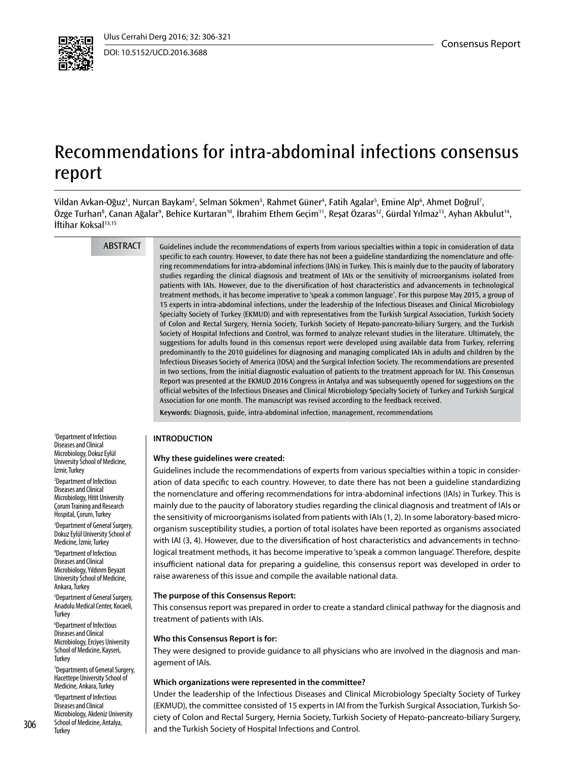

DOI: 10.5152/UCD.2016.3688

# Recommendations for intra-abdominal infections consensus report

Vildan Avkan-Oğuz<sup>ı</sup>, Nurcan Baykam<sup>2</sup>, Selman Sökmen<sup>3</sup>, Rahmet Güner<sup>4</sup>, Fatih Agalar<sup>5</sup>, Emine Alp<sup>6</sup>, Ahmet Doğrul<sup>7</sup>, Özge Turhan8 , Canan Ağalar9 , Behice Kurtaran10, İbrahim Ethem Geçim11, Reşat Özaras12, Gürdal Yılmaz13, Ayhan Akbulut14, İftihar Koksal<sup>13,15</sup>

ABSTRACT

Guidelines include the recommendations of experts from various specialties within a topic in consideration of data specific to each country. However, to date there has not been a guideline standardizing the nomenclature and offering recommendations for intra-abdominal infections (IAIs) in Turkey. This is mainly due to the paucity of laboratory studies regarding the clinical diagnosis and treatment of IAIs or the sensitivity of microorganisms isolated from patients with IAIs. However, due to the diversification of host characteristics and advancements in technological treatment methods, it has become imperative to 'speak a common language'. For this purpose May 2015, a group of 15 experts in intra-abdominal infections, under the leadership of the Infectious Diseases and Clinical Microbiology Specialty Society of Turkey (EKMUD) and with representatives from the Turkish Surgical Association, Turkish Society of Colon and Rectal Surgery, Hernia Society, Turkish Society of Hepato-pancreato-biliary Surgery, and the Turkish Society of Hospital Infections and Control, was formed to analyze relevant studies in the literature. Ultimately, the suggestions for adults found in this consensus report were developed using available data from Turkey, referring predominantly to the 2010 guidelines for diagnosing and managing complicated IAIs in adults and children by the Infectious Diseases Society of America (IDSA) and the Surgical Infection Society. The recommendations are presented in two sections, from the initial diagnostic evaluation of patients to the treatment approach for IAI. This Consensus Report was presented at the EKMUD 2016 Congress in Antalya and was subsequently opened for suggestions on the official websites of the Infectious Diseases and Clinical Microbiology Specialty Society of Turkey and Turkish Surgical Association for one month. The manuscript was revised according to the feedback received.

**Keywords:** Diagnosis, guide, intra-abdominal infection, management, recommendations

## **INTRODUCTION**

#### **Why these guidelines were created:**

Guidelines include the recommendations of experts from various specialties within a topic in consideration of data specific to each country. However, to date there has not been a guideline standardizing the nomenclature and offering recommendations for intra-abdominal infections (IAIs) in Turkey. This is mainly due to the paucity of laboratory studies regarding the clinical diagnosis and treatment of IAIs or the sensitivity of microorganisms isolated from patients with IAIs (1, 2). In some laboratory-based microorganism susceptibility studies, a portion of total isolates have been reported as organisms associated with IAI (3, 4). However, due to the diversification of host characteristics and advancements in technological treatment methods, it has become imperative to 'speak a common language'. Therefore, despite insufficient national data for preparing a guideline, this consensus report was developed in order to raise awareness of this issue and compile the available national data.

#### **The purpose of this Consensus Report:**

This consensus report was prepared in order to create a standard clinical pathway for the diagnosis and treatment of patients with IAIs.

#### **Who this Consensus Report is for:**

They were designed to provide guidance to all physicians who are involved in the diagnosis and management of IAIs.

#### **Which organizations were represented in the committee?**

Under the leadership of the Infectious Diseases and Clinical Microbiology Specialty Society of Turkey (EKMUD), the committee consisted of 15 experts in IAI from the Turkish Surgical Association, Turkish Society of Colon and Rectal Surgery, Hernia Society, Turkish Society of Hepato-pancreato-biliary Surgery, and the Turkish Society of Hospital Infections and Control.

1 Department of Infectious Diseases and Clinical Microbiology, Dokuz Eylül University School of Medicine, İzmir, Turkey

2 Department of Infectious Diseases and Clinical Microbiology, Hitit University Çorum Training and Research Hospital, Çorum, Turkey

3 Department of General Surgery, Dokuz Eylül University School of Medicine, İzmir, Turkey

4 Department of Infectious Diseases and Clinical Microbiology, Yıldırım Beyazıt University School of Medicine, Ankara, Turkey

5 Department of General Surgery, Anadolu Medical Center, Kocaeli, **Turkey** 

6 Department of Infectious Diseases and Clinical Microbiology, Erciyes University School of Medicine, Kayseri, **Turkey** 

7 Departments of General Surgery, Hacettepe University School of Medicine, Ankara, Turkey

8 Department of Infectious Diseases and Clinical Microbiology, Akdeniz University School of Medicine, Antalya, 306 School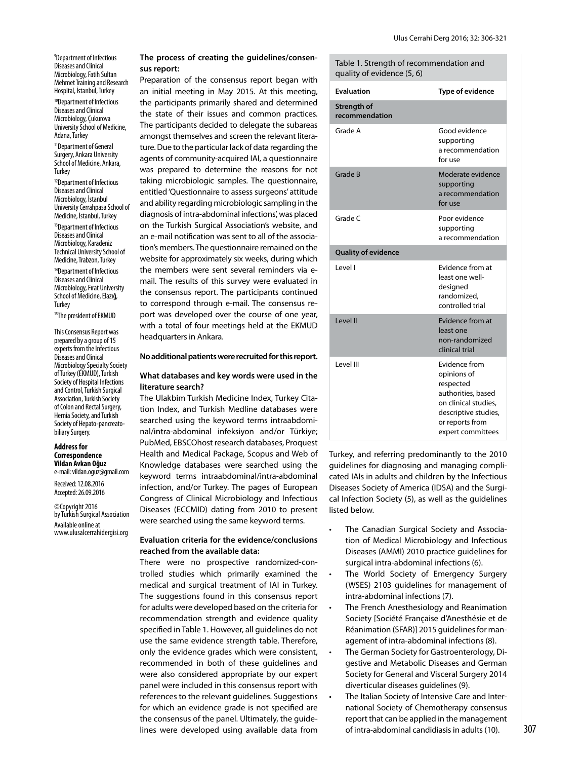9 Department of Infectious Diseases and Clinical Microbiology, Fatih Sultan Mehmet Training and Research Hospital, İstanbul, Turkey <sup>10</sup>Department of Infectious Diseases and Clinical Microbiology, Çukurova University School of Medicine, Adana, Turkey

11Department of General Surgery, Ankara University School of Medicine, Ankara, **Turkey** 

<sup>12</sup>Department of Infectious Diseases and Clinical Microbiology, İstanbul University Cerrahpasa School of Medicine, İstanbul, Turkey

13Department of Infectious Diseases and Clinical Microbiology, Karadeniz Technical University School of Medicine, Trabzon, Turkey

<sup>14</sup>Department of Infectious Diseases and Clinical Microbiology, Fırat University School of Medicine, Elazığ, **Turkey** 

<sup>15</sup>The president of EKMUD

This Consensus Report was prepared by a group of 15 experts from the Infectious Diseases and Clinical Microbiology Specialty Society of Turkey (EKMUD), Turkish Society of Hospital Infections and Control, Turkish Surgical Association, Turkish Society of Colon and Rectal Surgery, Hernia Society, and Turkish Society of Hepato-pancreatobiliary Surgery.

#### **Address for Correspondence Vildan Avkan Oğuz**

e-mail: vildan.oguz@gmail.com Received:12.08.2016 Accepted: 26.09.2016

©Copyright 2016 by Turkish Surgical Association Available online at www.ulusalcerrahidergisi.org

# **The process of creating the guidelines/consensus report:**

Preparation of the consensus report began with an initial meeting in May 2015. At this meeting, the participants primarily shared and determined the state of their issues and common practices. The participants decided to delegate the subareas amongst themselves and screen the relevant literature. Due to the particular lack of data regarding the agents of community-acquired IAI, a questionnaire was prepared to determine the reasons for not taking microbiologic samples. The questionnaire, entitled 'Questionnaire to assess surgeons' attitude and ability regarding microbiologic sampling in the diagnosis of intra-abdominal infections', was placed on the Turkish Surgical Association's website, and an e-mail notification was sent to all of the association's members. The questionnaire remained on the website for approximately six weeks, during which the members were sent several reminders via email. The results of this survey were evaluated in the consensus report. The participants continued to correspond through e-mail. The consensus report was developed over the course of one year, with a total of four meetings held at the EKMUD headquarters in Ankara.

#### **No additional patients were recruited for this report.**

## **What databases and key words were used in the literature search?**

The Ulakbim Turkish Medicine Index, Turkey Citation Index, and Turkish Medline databases were searched using the keyword terms intraabdominal/intra-abdominal infeksiyon and/or Türkiye; PubMed, EBSCOhost research databases, Proquest Health and Medical Package, Scopus and Web of Knowledge databases were searched using the keyword terms intraabdominal/intra-abdominal infection, and/or Turkey. The pages of European Congress of Clinical Microbiology and Infectious Diseases (ECCMID) dating from 2010 to present were searched using the same keyword terms.

## **Evaluation criteria for the evidence/conclusions reached from the available data:**

There were no prospective randomized-controlled studies which primarily examined the medical and surgical treatment of IAI in Turkey. The suggestions found in this consensus report for adults were developed based on the criteria for recommendation strength and evidence quality specified in Table 1. However, all guidelines do not use the same evidence strength table. Therefore, only the evidence grades which were consistent, recommended in both of these guidelines and were also considered appropriate by our expert panel were included in this consensus report with references to the relevant guidelines. Suggestions for which an evidence grade is not specified are the consensus of the panel. Ultimately, the guidelines were developed using available data from

| Table 1. Strength of recommendation and<br>quality of evidence (5, 6) |                                                                                                                                                         |
|-----------------------------------------------------------------------|---------------------------------------------------------------------------------------------------------------------------------------------------------|
| <b>Evaluation</b>                                                     | Type of evidence                                                                                                                                        |
| <b>Strength of</b><br>recommendation                                  |                                                                                                                                                         |
| Grade A                                                               | Good evidence<br>supporting<br>a recommendation<br>for use                                                                                              |
| Grade B                                                               | Moderate evidence<br>supporting<br>a recommendation<br>for use                                                                                          |
| Grade C                                                               | Poor evidence<br>supporting<br>a recommendation                                                                                                         |
| <b>Quality of evidence</b>                                            |                                                                                                                                                         |
| Level I                                                               | Evidence from at<br>least one well-<br>designed<br>randomized.<br>controlled trial                                                                      |
| Level II                                                              | Evidence from at<br>least one<br>non-randomized<br>clinical trial                                                                                       |
| Level III                                                             | Evidence from<br>opinions of<br>respected<br>authorities, based<br>on clinical studies,<br>descriptive studies,<br>or reports from<br>expert committees |

Turkey, and referring predominantly to the 2010 guidelines for diagnosing and managing complicated IAIs in adults and children by the Infectious Diseases Society of America (IDSA) and the Surgical Infection Society (5), as well as the guidelines listed below.

- The Canadian Surgical Society and Association of Medical Microbiology and Infectious Diseases (AMMI) 2010 practice guidelines for surgical intra-abdominal infections (6).
- The World Society of Emergency Surgery (WSES) 2103 guidelines for management of intra-abdominal infections (7).
- The French Anesthesiology and Reanimation Society [Société Française d'Anesthésie et de Réanimation (SFAR)] 2015 guidelines for management of intra-abdominal infections (8).
- The German Society for Gastroenterology, Digestive and Metabolic Diseases and German Society for General and Visceral Surgery 2014 diverticular diseases guidelines (9).
- The Italian Society of Intensive Care and International Society of Chemotherapy consensus report that can be applied in the management of intra-abdominal candidiasis in adults (10).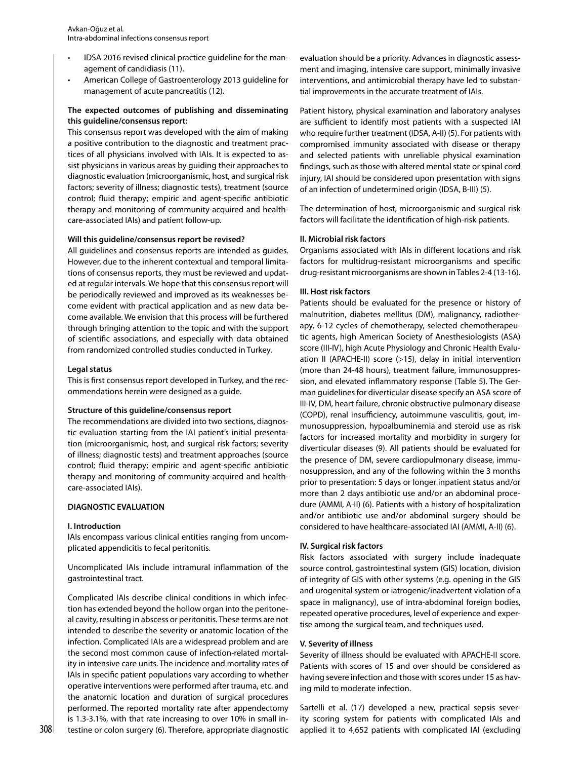- IDSA 2016 revised clinical practice guideline for the management of candidiasis (11).
- American College of Gastroenterology 2013 guideline for management of acute pancreatitis (12).

# **The expected outcomes of publishing and disseminating this guideline/consensus report:**

This consensus report was developed with the aim of making a positive contribution to the diagnostic and treatment practices of all physicians involved with IAIs. It is expected to assist physicians in various areas by guiding their approaches to diagnostic evaluation (microorganismic, host, and surgical risk factors; severity of illness; diagnostic tests), treatment (source control; fluid therapy; empiric and agent-specific antibiotic therapy and monitoring of community-acquired and healthcare-associated IAIs) and patient follow-up.

## **Will this guideline/consensus report be revised?**

All guidelines and consensus reports are intended as guides. However, due to the inherent contextual and temporal limitations of consensus reports, they must be reviewed and updated at regular intervals. We hope that this consensus report will be periodically reviewed and improved as its weaknesses become evident with practical application and as new data become available. We envision that this process will be furthered through bringing attention to the topic and with the support of scientific associations, and especially with data obtained from randomized controlled studies conducted in Turkey.

#### **Legal status**

This is first consensus report developed in Turkey, and the recommendations herein were designed as a guide.

#### **Structure of this guideline/consensus report**

The recommendations are divided into two sections, diagnostic evaluation starting from the IAI patient's initial presentation (microorganismic, host, and surgical risk factors; severity of illness; diagnostic tests) and treatment approaches (source control; fluid therapy; empiric and agent-specific antibiotic therapy and monitoring of community-acquired and healthcare-associated IAIs).

# **DIAGNOSTIC EVALUATION**

#### **I. Introduction**

IAIs encompass various clinical entities ranging from uncomplicated appendicitis to fecal peritonitis.

Uncomplicated IAIs include intramural inflammation of the gastrointestinal tract.

Complicated IAIs describe clinical conditions in which infection has extended beyond the hollow organ into the peritoneal cavity, resulting in abscess or peritonitis. These terms are not intended to describe the severity or anatomic location of the infection. Complicated IAIs are a widespread problem and are the second most common cause of infection-related mortality in intensive care units. The incidence and mortality rates of IAIs in specific patient populations vary according to whether operative interventions were performed after trauma, etc. and the anatomic location and duration of surgical procedures performed. The reported mortality rate after appendectomy is 1.3-3.1%, with that rate increasing to over 10% in small inevaluation should be a priority. Advances in diagnostic assessment and imaging, intensive care support, minimally invasive interventions, and antimicrobial therapy have led to substantial improvements in the accurate treatment of IAIs.

Patient history, physical examination and laboratory analyses are sufficient to identify most patients with a suspected IAI who require further treatment (IDSA, A-II) (5). For patients with compromised immunity associated with disease or therapy and selected patients with unreliable physical examination findings, such as those with altered mental state or spinal cord injury, IAI should be considered upon presentation with signs of an infection of undetermined origin (IDSA, B-III) (5).

The determination of host, microorganismic and surgical risk factors will facilitate the identification of high-risk patients.

# **II. Microbial risk factors**

Organisms associated with IAIs in different locations and risk factors for multidrug-resistant microorganisms and specific drug-resistant microorganisms are shown in Tables 2-4 (13-16).

## **III. Host risk factors**

Patients should be evaluated for the presence or history of malnutrition, diabetes mellitus (DM), malignancy, radiotherapy, 6-12 cycles of chemotherapy, selected chemotherapeutic agents, high American Society of Anesthesiologists (ASA) score (III-IV), high Acute Physiology and Chronic Health Evaluation II (APACHE-II) score (>15), delay in initial intervention (more than 24-48 hours), treatment failure, immunosuppression, and elevated inflammatory response (Table 5). The German guidelines for diverticular disease specify an ASA score of III-IV, DM, heart failure, chronic obstructive pulmonary disease (COPD), renal insufficiency, autoimmune vasculitis, gout, immunosuppression, hypoalbuminemia and steroid use as risk factors for increased mortality and morbidity in surgery for diverticular diseases (9). All patients should be evaluated for the presence of DM, severe cardiopulmonary disease, immunosuppression, and any of the following within the 3 months prior to presentation: 5 days or longer inpatient status and/or more than 2 days antibiotic use and/or an abdominal procedure (AMMI, A-II) (6). Patients with a history of hospitalization and/or antibiotic use and/or abdominal surgery should be considered to have healthcare-associated IAI (AMMI, A-II) (6).

# **IV. Surgical risk factors**

Risk factors associated with surgery include inadequate source control, gastrointestinal system (GIS) location, division of integrity of GIS with other systems (e.g. opening in the GIS and urogenital system or iatrogenic/inadvertent violation of a space in malignancy), use of intra-abdominal foreign bodies, repeated operative procedures, level of experience and expertise among the surgical team, and techniques used.

#### **V. Severity of illness**

Severity of illness should be evaluated with APACHE-II score. Patients with scores of 15 and over should be considered as having severe infection and those with scores under 15 as having mild to moderate infection.

 $308$  testine or colon surgery (6). Therefore, appropriate diagnostic applied it to 4,652 patients with complicated IAI (excluding Sartelli et al. (17) developed a new, practical sepsis severity scoring system for patients with complicated IAIs and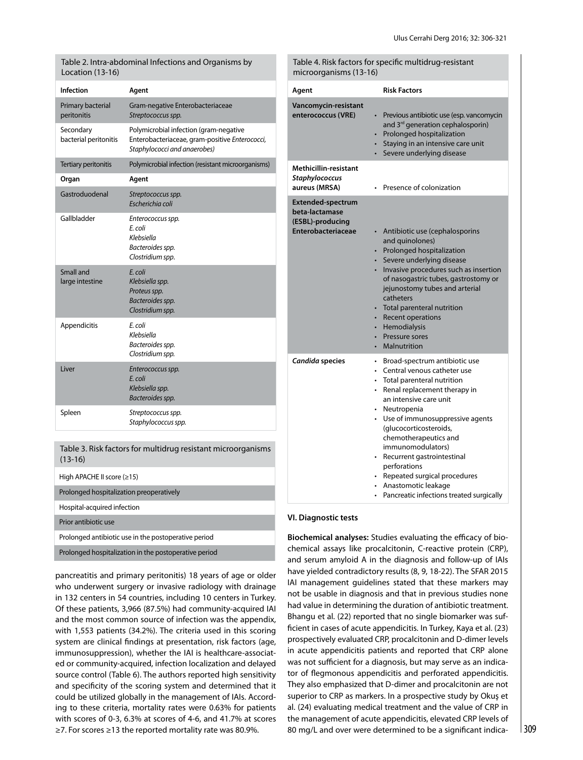| Location (13-16)                         | Table 2. Intra-abdominal Infections and Organisms by                                                                     | microorganisms (13-16)                                                                                                                                                                                                                                                                                                                   | Table 4. Risk factors for specific multidrug-resistant                                                                                                                |
|------------------------------------------|--------------------------------------------------------------------------------------------------------------------------|------------------------------------------------------------------------------------------------------------------------------------------------------------------------------------------------------------------------------------------------------------------------------------------------------------------------------------------|-----------------------------------------------------------------------------------------------------------------------------------------------------------------------|
| <b>Infection</b>                         | Agent                                                                                                                    | Agent                                                                                                                                                                                                                                                                                                                                    | <b>Risk Factors</b>                                                                                                                                                   |
| Primary bacterial<br>peritonitis         | Gram-negative Enterobacteriaceae<br>Streptococcus spp.                                                                   | Vancomycin-resistant<br>enterococcus (VRE)<br>and 3rd generation cephalosporin)<br>• Prolonged hospitalization<br>Staying in an intensive care unit<br>• Severe underlying disease                                                                                                                                                       | • Previous antibiotic use (esp. vancomycin                                                                                                                            |
| Secondary<br>bacterial peritonitis       | Polymicrobial infection (gram-negative<br>Enterobacteriaceae, gram-positive Enterococci,<br>Staphylococci and anaerobes) |                                                                                                                                                                                                                                                                                                                                          |                                                                                                                                                                       |
| Tertiary peritonitis                     | Polymicrobial infection (resistant microorganisms)                                                                       | <b>Methicillin-resistant</b><br><b>Staphylococcus</b><br>aureus (MRSA)                                                                                                                                                                                                                                                                   |                                                                                                                                                                       |
| Organ                                    | Agent                                                                                                                    |                                                                                                                                                                                                                                                                                                                                          | • Presence of colonization                                                                                                                                            |
| Gastroduodenal                           | Streptococcus spp.<br>Escherichia coli                                                                                   | <b>Extended-spectrum</b>                                                                                                                                                                                                                                                                                                                 |                                                                                                                                                                       |
| Gallbladder                              | Enterococcus spp.<br>E. coli<br>Klebsiella<br>Bacteroides spp.<br>Clostridium spp.                                       | beta-lactamase<br>(ESBL)-producing<br>Enterobacteriaceae<br>• Antibiotic use (cephalosporins<br>and quinolones)<br>• Prolonged hospitalization<br>Severe underlying disease<br>jejunostomy tubes and arterial<br>catheters<br>• Total parenteral nutrition<br><b>Recent operations</b><br>Hemodialysis<br>Pressure sores<br>Malnutrition |                                                                                                                                                                       |
| Small and<br>large intestine             | E. coli<br>Klebsiella spp.<br>Proteus spp.<br>Bacteroides spp.<br>Clostridium spp.                                       |                                                                                                                                                                                                                                                                                                                                          | • Invasive procedures such as insertion<br>of nasogastric tubes, gastrostomy or                                                                                       |
| Appendicitis                             | E. coli<br>Klebsiella<br>Bacteroides spp.<br>Clostridium spp.                                                            |                                                                                                                                                                                                                                                                                                                                          |                                                                                                                                                                       |
| Liver                                    | Enterococcus spp.<br>E. coli<br>Klebsiella spp.<br>Bacteroides spp.                                                      | Candida species                                                                                                                                                                                                                                                                                                                          | Broad-spectrum antibiotic use<br>$\bullet$<br>Central venous catheter use<br>• Total parenteral nutrition<br>• Renal replacement therapy in<br>an intensive care unit |
| Spleen                                   | Streptococcus spp.<br>Staphylococcus spp.                                                                                | • Neutropenia<br>Use of immunosuppressive agents<br>(glucocorticosteroids,                                                                                                                                                                                                                                                               |                                                                                                                                                                       |
| $(13-16)$                                | Table 3. Risk factors for multidrug resistant microorganisms                                                             |                                                                                                                                                                                                                                                                                                                                          | chemotherapeutics and<br>immunomodulators)<br>• Recurrent gastrointestinal<br>perforations                                                                            |
| High APACHE II score $(\geq 15)$         |                                                                                                                          |                                                                                                                                                                                                                                                                                                                                          | • Repeated surgical procedures                                                                                                                                        |
| Prolonged hospitalization preoperatively |                                                                                                                          | Anastomotic leakage                                                                                                                                                                                                                                                                                                                      | • Pancreatic infections treated surgically                                                                                                                            |
| Hospital-acquired infection              |                                                                                                                          |                                                                                                                                                                                                                                                                                                                                          |                                                                                                                                                                       |

**VI. Diagnostic tests** 

**Biochemical analyses:** Studies evaluating the efficacy of biochemical assays like procalcitonin, C-reactive protein (CRP), and serum amyloid A in the diagnosis and follow-up of IAIs have yielded contradictory results (8, 9, 18-22). The SFAR 2015 IAI management guidelines stated that these markers may not be usable in diagnosis and that in previous studies none had value in determining the duration of antibiotic treatment. Bhangu et al. (22) reported that no single biomarker was sufficient in cases of acute appendicitis. In Turkey, Kaya et al. (23) prospectively evaluated CRP, procalcitonin and D-dimer levels in acute appendicitis patients and reported that CRP alone was not sufficient for a diagnosis, but may serve as an indicator of flegmonous appendicitis and perforated appendicitis. They also emphasized that D-dimer and procalcitonin are not superior to CRP as markers. In a prospective study by Okuş et al. (24) evaluating medical treatment and the value of CRP in the management of acute appendicitis, elevated CRP levels of 80 mg/L and over were determined to be a significant indica-

## Prior antibiotic use

Prolonged antibiotic use in the postoperative period

Prolonged hospitalization in the postoperative period

pancreatitis and primary peritonitis) 18 years of age or older who underwent surgery or invasive radiology with drainage in 132 centers in 54 countries, including 10 centers in Turkey. Of these patients, 3,966 (87.5%) had community-acquired IAI and the most common source of infection was the appendix, with 1,553 patients (34.2%). The criteria used in this scoring system are clinical findings at presentation, risk factors (age, immunosuppression), whether the IAI is healthcare-associated or community-acquired, infection localization and delayed source control (Table 6). The authors reported high sensitivity and specificity of the scoring system and determined that it could be utilized globally in the management of IAIs. According to these criteria, mortality rates were 0.63% for patients with scores of 0-3, 6.3% at scores of 4-6, and 41.7% at scores ≥7. For scores ≥13 the reported mortality rate was 80.9%.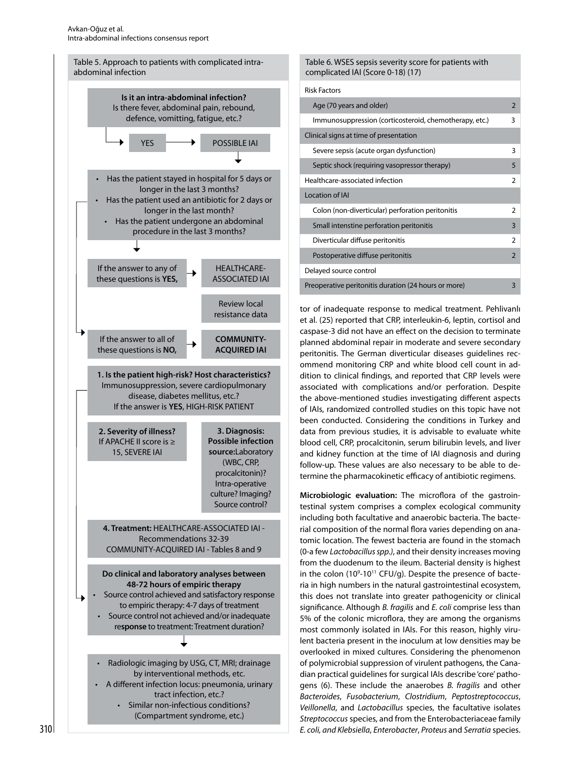

| Table 6. WSES sepsis severity score for patients with<br>complicated IAI (Score 0-18) (17) |                          |
|--------------------------------------------------------------------------------------------|--------------------------|
| <b>Risk Factors</b>                                                                        |                          |
| Age (70 years and older)                                                                   | $\overline{\phantom{0}}$ |
| Immunosuppression (corticosteroid, chemotherapy, etc.)                                     | 3                        |
| Clinical signs at time of presentation                                                     |                          |
| Severe sepsis (acute organ dysfunction)                                                    | 3                        |
| Septic shock (requiring vasopressor therapy)                                               | 5                        |
| Healthcare-associated infection                                                            | $\mathcal{P}$            |
| Location of IAI                                                                            |                          |
| Colon (non-diverticular) perforation peritonitis                                           | 2                        |
| Small intenstine perforation peritonitis                                                   | $\overline{\mathbf{3}}$  |
| Diverticular diffuse peritonitis                                                           | $\mathcal{P}$            |
| Postoperative diffuse peritonitis                                                          | $\overline{2}$           |
| Delayed source control                                                                     |                          |
| Preoperative peritonitis duration (24 hours or more)                                       | 3                        |

tor of inadequate response to medical treatment. Pehlivanlı et al. (25) reported that CRP, interleukin-6, leptin, cortisol and caspase-3 did not have an effect on the decision to terminate planned abdominal repair in moderate and severe secondary peritonitis. The German diverticular diseases guidelines recommend monitoring CRP and white blood cell count in addition to clinical findings, and reported that CRP levels were associated with complications and/or perforation. Despite the above-mentioned studies investigating different aspects of IAIs, randomized controlled studies on this topic have not been conducted. Considering the conditions in Turkey and data from previous studies, it is advisable to evaluate white blood cell, CRP, procalcitonin, serum bilirubin levels, and liver and kidney function at the time of IAI diagnosis and during follow-up. These values are also necessary to be able to determine the pharmacokinetic efficacy of antibiotic regimens.

**Microbiologic evaluation:** The microflora of the gastrointestinal system comprises a complex ecological community including both facultative and anaerobic bacteria. The bacterial composition of the normal flora varies depending on anatomic location. The fewest bacteria are found in the stomach (0-a few *Lactobacillus spp.)*, and their density increases moving from the duodenum to the ileum. Bacterial density is highest in the colon (10<sup>9</sup>-10<sup>11</sup> CFU/g). Despite the presence of bacteria in high numbers in the natural gastrointestinal ecosystem, this does not translate into greater pathogenicity or clinical significance. Although *B. fragilis* and *E. coli* comprise less than 5% of the colonic microflora, they are among the organisms most commonly isolated in IAIs. For this reason, highly virulent bacteria present in the inoculum at low densities may be overlooked in mixed cultures. Considering the phenomenon of polymicrobial suppression of virulent pathogens, the Canadian practical guidelines for surgical IAIs describe 'core' pathogens (6). These include the anaerobes *B. fragilis* and other *Bacteroides*, *Fusobacterium*, *Clostridium*, *Peptostreptococcus*, *Veillonella*, and *Lactobacillus* species, the facultative isolates *Streptococcus* species, and from the Enterobacteriaceae family *E. coli, and Klebsiella*, *Enterobacter*, *Proteus* and *Serratia* species.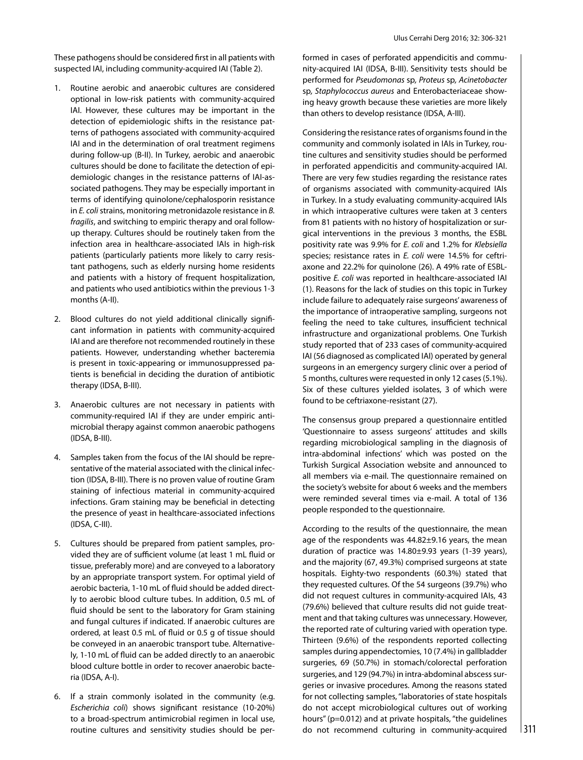These pathogens should be considered first in all patients with suspected IAI, including community-acquired IAI (Table 2).

- 1. Routine aerobic and anaerobic cultures are considered optional in low-risk patients with community-acquired IAI. However, these cultures may be important in the detection of epidemiologic shifts in the resistance patterns of pathogens associated with community-acquired IAI and in the determination of oral treatment regimens during follow-up (B-II). In Turkey, aerobic and anaerobic cultures should be done to facilitate the detection of epidemiologic changes in the resistance patterns of IAI-associated pathogens. They may be especially important in terms of identifying quinolone/cephalosporin resistance in *E. coli* strains, monitoring metronidazole resistance in *B. fragilis*, and switching to empiric therapy and oral followup therapy. Cultures should be routinely taken from the infection area in healthcare-associated IAIs in high-risk patients (particularly patients more likely to carry resistant pathogens, such as elderly nursing home residents and patients with a history of frequent hospitalization, and patients who used antibiotics within the previous 1-3 months (A-II).
- 2. Blood cultures do not yield additional clinically significant information in patients with community-acquired IAI and are therefore not recommended routinely in these patients. However, understanding whether bacteremia is present in toxic-appearing or immunosuppressed patients is beneficial in deciding the duration of antibiotic therapy (IDSA, B-III).
- 3. Anaerobic cultures are not necessary in patients with community-required IAI if they are under empiric antimicrobial therapy against common anaerobic pathogens (IDSA, B-III).
- 4. Samples taken from the focus of the IAI should be representative of the material associated with the clinical infection (IDSA, B-III). There is no proven value of routine Gram staining of infectious material in community-acquired infections. Gram staining may be beneficial in detecting the presence of yeast in healthcare-associated infections (IDSA, C-III).
- 5. Cultures should be prepared from patient samples, provided they are of sufficient volume (at least 1 mL fluid or tissue, preferably more) and are conveyed to a laboratory by an appropriate transport system. For optimal yield of aerobic bacteria, 1-10 mL of fluid should be added directly to aerobic blood culture tubes. In addition, 0.5 mL of fluid should be sent to the laboratory for Gram staining and fungal cultures if indicated. If anaerobic cultures are ordered, at least 0.5 mL of fluid or 0.5 g of tissue should be conveyed in an anaerobic transport tube. Alternatively, 1-10 mL of fluid can be added directly to an anaerobic blood culture bottle in order to recover anaerobic bacteria (IDSA, A-I).
- 6. If a strain commonly isolated in the community (e.g. *Escherichia coli*) shows significant resistance (10-20%) to a broad-spectrum antimicrobial regimen in local use, routine cultures and sensitivity studies should be per-

formed in cases of perforated appendicitis and community-acquired IAI (IDSA, B-III). Sensitivity tests should be performed for *Pseudomonas* sp*, Proteus* sp*, Acinetobacter*  sp*, Staphylococcus aureus* and Enterobacteriaceae showing heavy growth because these varieties are more likely than others to develop resistance (IDSA, A-III).

Considering the resistance rates of organisms found in the community and commonly isolated in IAIs in Turkey, routine cultures and sensitivity studies should be performed in perforated appendicitis and community-acquired IAI. There are very few studies regarding the resistance rates of organisms associated with community-acquired IAIs in Turkey. In a study evaluating community-acquired IAIs in which intraoperative cultures were taken at 3 centers from 81 patients with no history of hospitalization or surgical interventions in the previous 3 months, the ESBL positivity rate was 9.9% for *E. coli* and 1.2% for *Klebsiella* species; resistance rates in *E. coli* were 14.5% for ceftriaxone and 22.2% for quinolone (26). A 49% rate of ESBLpositive *E. coli* was reported in healthcare-associated IAI (1). Reasons for the lack of studies on this topic in Turkey include failure to adequately raise surgeons' awareness of the importance of intraoperative sampling, surgeons not feeling the need to take cultures, insufficient technical infrastructure and organizational problems. One Turkish study reported that of 233 cases of community-acquired IAI (56 diagnosed as complicated IAI) operated by general surgeons in an emergency surgery clinic over a period of 5 months, cultures were requested in only 12 cases (5.1%). Six of these cultures yielded isolates, 3 of which were found to be ceftriaxone-resistant (27).

The consensus group prepared a questionnaire entitled 'Questionnaire to assess surgeons' attitudes and skills regarding microbiological sampling in the diagnosis of intra-abdominal infections' which was posted on the Turkish Surgical Association website and announced to all members via e-mail. The questionnaire remained on the society's website for about 6 weeks and the members were reminded several times via e-mail. A total of 136 people responded to the questionnaire.

According to the results of the questionnaire, the mean age of the respondents was 44.82±9.16 years, the mean duration of practice was 14.80±9.93 years (1-39 years), and the majority (67, 49.3%) comprised surgeons at state hospitals. Eighty-two respondents (60.3%) stated that they requested cultures. Of the 54 surgeons (39.7%) who did not request cultures in community-acquired IAIs, 43 (79.6%) believed that culture results did not guide treatment and that taking cultures was unnecessary. However, the reported rate of culturing varied with operation type. Thirteen (9.6%) of the respondents reported collecting samples during appendectomies, 10 (7.4%) in gallbladder surgeries, 69 (50.7%) in stomach/colorectal perforation surgeries, and 129 (94.7%) in intra-abdominal abscess surgeries or invasive procedures. Among the reasons stated for not collecting samples, "laboratories of state hospitals do not accept microbiological cultures out of working hours" (p=0.012) and at private hospitals, "the guidelines do not recommend culturing in community-acquired  $|311|$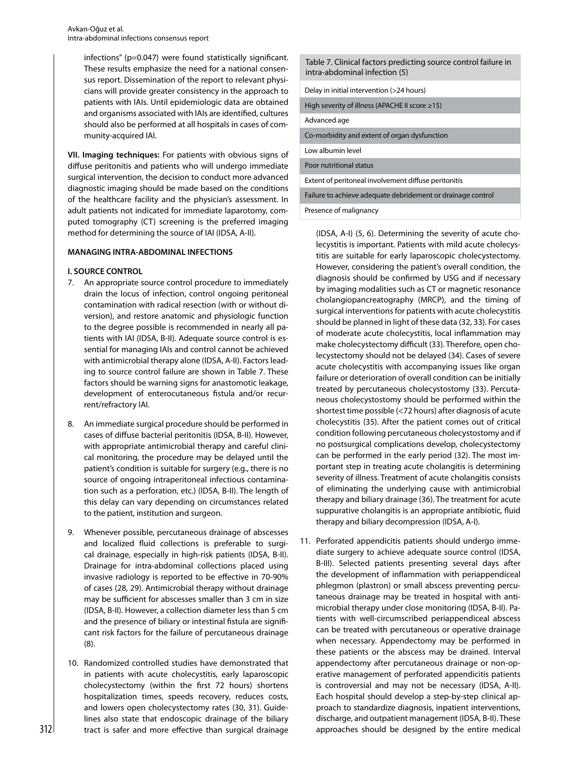infections" (p=0.047) were found statistically significant. These results emphasize the need for a national consensus report. Dissemination of the report to relevant physiscians will provide greater consistency in the approac patients with IAIs. Until epidemiologic data are obtai and organisms associated with IAIs are identified, culture should also be performed at all hospitals in cases of co munity-acquired IAI.

**VII. Imaging techniques:** For patients with obvious sign diffuse peritonitis and patients who will undergo immed surgical intervention, the decision to conduct more advan diagnostic imaging should be made based on the conditi of the healthcare facility and the physician's assessment adult patients not indicated for immediate laparotomy, computed tomography (CT) screening is the preferred imaging method for determining the source of IAI (IDSA, A-II).

## **MANAGING INTRA-ABDOMINAL INFECTIONS**

# **I. SOURCE CONTROL**

- 7. An appropriate source control procedure to immediately drain the locus of infection, control ongoing peritoneal contamination with radical resection (with or without diversion), and restore anatomic and physiologic function to the degree possible is recommended in nearly all patients with IAI (IDSA, B-II). Adequate source control is essential for managing IAIs and control cannot be achieved with antimicrobial therapy alone (IDSA, A-II). Factors leading to source control failure are shown in Table 7. These factors should be warning signs for anastomotic leakage, development of enterocutaneous fistula and/or recurrent/refractory IAI.
- 8. An immediate surgical procedure should be performed in cases of diffuse bacterial peritonitis (IDSA, B-II). However, with appropriate antimicrobial therapy and careful clinical monitoring, the procedure may be delayed until the patient's condition is suitable for surgery (e.g., there is no source of ongoing intraperitoneal infectious contamination such as a perforation, etc.) (IDSA, B-II). The length of this delay can vary depending on circumstances related to the patient, institution and surgeon.
- 9. Whenever possible, percutaneous drainage of abscesses and localized fluid collections is preferable to surgical drainage, especially in high-risk patients (IDSA, B-II). Drainage for intra-abdominal collections placed using invasive radiology is reported to be effective in 70-90% of cases (28, 29). Antimicrobial therapy without drainage may be sufficient for abscesses smaller than 3 cm in size (IDSA, B-II). However, a collection diameter less than 5 cm and the presence of biliary or intestinal fistula are significant risk factors for the failure of percutaneous drainage (8).
- 10. Randomized controlled studies have demonstrated that in patients with acute cholecystitis, early laparoscopic cholecystectomy (within the first 72 hours) shortens hospitalization times, speeds recovery, reduces costs, and lowers open cholecystectomy rates (30, 31). Guidelines also state that endoscopic drainage of the biliary tract is safer and more effective than surgical drainage

| :ant.<br>sen-<br>-ivsi<br>h to<br>ined<br>ures<br>om- | Table 7. Clinical factors predicting source control failure in<br>intra-abdominal infection (5) |
|-------------------------------------------------------|-------------------------------------------------------------------------------------------------|
|                                                       | Delay in initial intervention (>24 hours)                                                       |
|                                                       | High severity of illness (APACHE II score $\ge$ 15)                                             |
|                                                       | Advanced age                                                                                    |
|                                                       | Co-morbidity and extent of organ dysfunction                                                    |
| ıs of                                                 | Low albumin level                                                                               |
| liate<br>าced<br>ions<br>t. In                        | Poor nutritional status                                                                         |
|                                                       | Extent of peritoneal involvement diffuse peritonitis                                            |
|                                                       | Failure to achieve adequate debridement or drainage control                                     |

Presence of malignancy

(IDSA, A-I) (5, 6). Determining the severity of acute cholecystitis is important. Patients with mild acute cholecystitis are suitable for early laparoscopic cholecystectomy. However, considering the patient's overall condition, the diagnosis should be confirmed by USG and if necessary by imaging modalities such as CT or magnetic resonance cholangiopancreatography (MRCP), and the timing of surgical interventions for patients with acute cholecystitis should be planned in light of these data (32, 33). For cases of moderate acute cholecystitis, local inflammation may make cholecystectomy difficult (33). Therefore, open cholecystectomy should not be delayed (34). Cases of severe acute cholecystitis with accompanying issues like organ failure or deterioration of overall condition can be initially treated by percutaneous cholecystostomy (33). Percutaneous cholecystostomy should be performed within the shortest time possible (<72 hours) after diagnosis of acute cholecystitis (35). After the patient comes out of critical condition following percutaneous cholecystostomy and if no postsurgical complications develop, cholecystectomy can be performed in the early period (32). The most important step in treating acute cholangitis is determining severity of illness. Treatment of acute cholangitis consists of eliminating the underlying cause with antimicrobial therapy and biliary drainage (36). The treatment for acute suppurative cholangitis is an appropriate antibiotic, fluid therapy and biliary decompression (IDSA, A-I).

11. Perforated appendicitis patients should undergo immediate surgery to achieve adequate source control (IDSA, B-III). Selected patients presenting several days after the development of inflammation with periappendiceal phlegmon (plastron) or small abscess preventing percutaneous drainage may be treated in hospital with antimicrobial therapy under close monitoring (IDSA, B-II). Patients with well-circumscribed periappendiceal abscess can be treated with percutaneous or operative drainage when necessary. Appendectomy may be performed in these patients or the abscess may be drained. Interval appendectomy after percutaneous drainage or non-operative management of perforated appendicitis patients is controversial and may not be necessary (IDSA, A-II). Each hospital should develop a step-by-step clinical approach to standardize diagnosis, inpatient interventions, discharge, and outpatient management (IDSA, B-II). These approaches should be designed by the entire medical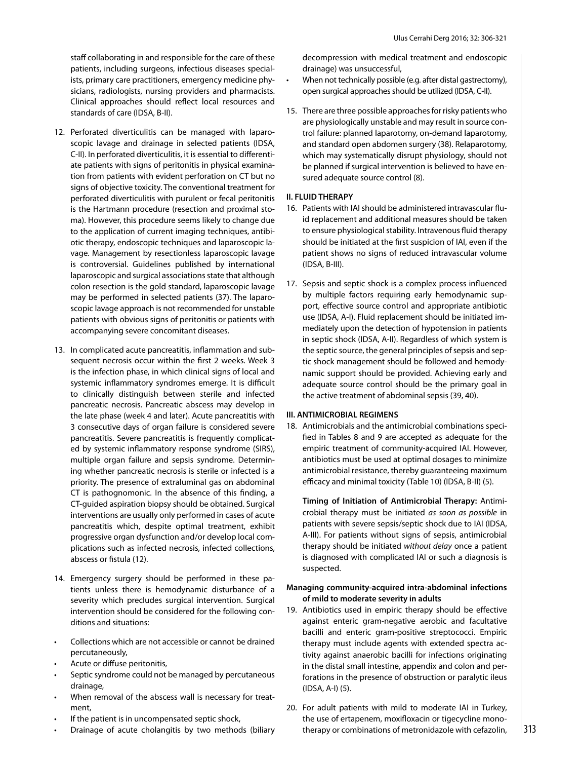staff collaborating in and responsible for the care of these patients, including surgeons, infectious diseases specialists, primary care practitioners, emergency medicine physicians, radiologists, nursing providers and pharmacists. Clinical approaches should reflect local resources and standards of care (IDSA, B-II).

- 12. Perforated diverticulitis can be managed with laparoscopic lavage and drainage in selected patients (IDSA, C-II). In perforated diverticulitis, it is essential to differentiate patients with signs of peritonitis in physical examination from patients with evident perforation on CT but no signs of objective toxicity. The conventional treatment for perforated diverticulitis with purulent or fecal peritonitis is the Hartmann procedure (resection and proximal stoma). However, this procedure seems likely to change due to the application of current imaging techniques, antibiotic therapy, endoscopic techniques and laparoscopic lavage. Management by resectionless laparoscopic lavage is controversial. Guidelines published by international laparoscopic and surgical associations state that although colon resection is the gold standard, laparoscopic lavage may be performed in selected patients (37). The laparoscopic lavage approach is not recommended for unstable patients with obvious signs of peritonitis or patients with accompanying severe concomitant diseases.
- 13. In complicated acute pancreatitis, inflammation and subsequent necrosis occur within the first 2 weeks. Week 3 is the infection phase, in which clinical signs of local and systemic inflammatory syndromes emerge. It is difficult to clinically distinguish between sterile and infected pancreatic necrosis. Pancreatic abscess may develop in the late phase (week 4 and later). Acute pancreatitis with 3 consecutive days of organ failure is considered severe pancreatitis. Severe pancreatitis is frequently complicated by systemic inflammatory response syndrome (SIRS), multiple organ failure and sepsis syndrome. Determining whether pancreatic necrosis is sterile or infected is a priority. The presence of extraluminal gas on abdominal CT is pathognomonic. In the absence of this finding, a CT-guided aspiration biopsy should be obtained. Surgical interventions are usually only performed in cases of acute pancreatitis which, despite optimal treatment, exhibit progressive organ dysfunction and/or develop local complications such as infected necrosis, infected collections, abscess or fistula (12).
- 14. Emergency surgery should be performed in these patients unless there is hemodynamic disturbance of a severity which precludes surgical intervention. Surgical intervention should be considered for the following conditions and situations:
- Collections which are not accessible or cannot be drained percutaneously,
- Acute or diffuse peritonitis,
- Septic syndrome could not be managed by percutaneous drainage,
- When removal of the abscess wall is necessary for treatment,
- If the patient is in uncompensated septic shock,
- Drainage of acute cholangitis by two methods (biliary

decompression with medical treatment and endoscopic drainage) was unsuccessful,

- When not technically possible (e.g. after distal gastrectomy), open surgical approaches should be utilized (IDSA, C-II).
- 15. There are three possible approaches for risky patients who are physiologically unstable and may result in source control failure: planned laparotomy, on-demand laparotomy, and standard open abdomen surgery (38). Relaparotomy, which may systematically disrupt physiology, should not be planned if surgical intervention is believed to have ensured adequate source control (8).

# **II. FLUID THERAPY**

- 16. Patients with IAI should be administered intravascular fluid replacement and additional measures should be taken to ensure physiological stability. Intravenous fluid therapy should be initiated at the first suspicion of IAI, even if the patient shows no signs of reduced intravascular volume (IDSA, B-III).
- 17. Sepsis and septic shock is a complex process influenced by multiple factors requiring early hemodynamic support, effective source control and appropriate antibiotic use (IDSA, A-I). Fluid replacement should be initiated immediately upon the detection of hypotension in patients in septic shock (IDSA, A-II). Regardless of which system is the septic source, the general principles of sepsis and septic shock management should be followed and hemodynamic support should be provided. Achieving early and adequate source control should be the primary goal in the active treatment of abdominal sepsis (39, 40).

# **III. ANTIMICROBIAL REGIMENS**

18. Antimicrobials and the antimicrobial combinations specified in Tables 8 and 9 are accepted as adequate for the empiric treatment of community-acquired IAI. However, antibiotics must be used at optimal dosages to minimize antimicrobial resistance, thereby guaranteeing maximum efficacy and minimal toxicity (Table 10) (IDSA, B-II) (5).

**Timing of Initiation of Antimicrobial Therapy:** Antimicrobial therapy must be initiated *as soon as possible* in patients with severe sepsis/septic shock due to IAI (IDSA, A-III). For patients without signs of sepsis, antimicrobial therapy should be initiated *without delay* once a patient is diagnosed with complicated IAI or such a diagnosis is suspected.

# **Managing community-acquired intra-abdominal infections of mild to moderate severity in adults**

- 19. Antibiotics used in empiric therapy should be effective against enteric gram-negative aerobic and facultative bacilli and enteric gram-positive streptococci. Empiric therapy must include agents with extended spectra activity against anaerobic bacilli for infections originating in the distal small intestine, appendix and colon and perforations in the presence of obstruction or paralytic ileus (IDSA, A-I) (5).
- 20. For adult patients with mild to moderate IAI in Turkey, the use of ertapenem, moxifloxacin or tigecycline monotherapy or combinations of metronidazole with cefazolin,  $\vert$  313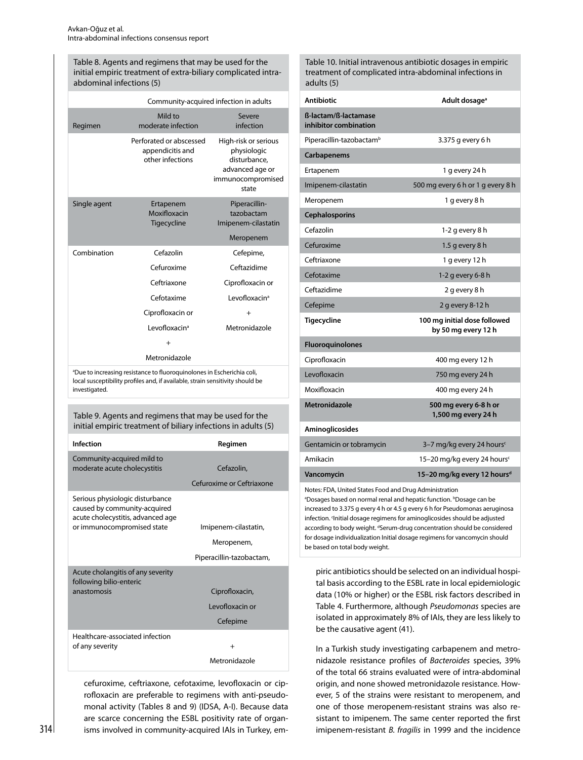Table 8. Agents and regimens that may be used for the initial empiric treatment of extra-biliary complicated intraabdominal infections (5)

|              |                                                                 | Community-acquired infection in adults                                                               |
|--------------|-----------------------------------------------------------------|------------------------------------------------------------------------------------------------------|
| Regimen      | Mild to<br>moderate infection                                   | Severe<br>infection                                                                                  |
|              | Perforated or abscessed<br>appendicitis and<br>other infections | High-risk or serious<br>physiologic<br>disturbance,<br>advanced age or<br>immunocompromised<br>state |
| Single agent | Ertapenem<br>Moxifloxacin<br>Tigecycline                        | Piperacillin-<br>tazobactam<br>Imipenem-cilastatin                                                   |
|              |                                                                 | Meropenem                                                                                            |
| Combination  | Cefazolin                                                       | Cefepime,                                                                                            |
|              | Cefuroxime                                                      | Ceftazidime                                                                                          |
|              | Ceftriaxone                                                     | Ciprofloxacin or                                                                                     |
|              | Cefotaxime                                                      | Levofloxacin <sup>a</sup>                                                                            |
|              | Ciprofloxacin or                                                | $+$                                                                                                  |
|              | I evofloxacin <sup>a</sup>                                      | Metronidazole                                                                                        |
|              | $\ddot{}$                                                       |                                                                                                      |
|              | Metronidazole                                                   |                                                                                                      |

<sup>a</sup>Due to increasing resistance to fluoroquinolones in Escherichia coli, local susceptibility profiles and, if available, strain sensitivity should be investigated.

Table 9. Agents and regimens that may be used for the initial empiric treatment of biliary infections in adults (5)

| Infection                                                                                            | Regimen                   |
|------------------------------------------------------------------------------------------------------|---------------------------|
| Community-acquired mild to<br>moderate acute cholecystitis                                           | Cefazolin,                |
|                                                                                                      | Cefuroxime or Ceftriaxone |
| Serious physiologic disturbance<br>caused by community-acquired<br>acute cholecystitis, advanced age |                           |
| or immunocompromised state                                                                           | Imipenem-cilastatin,      |
|                                                                                                      | Meropenem,                |
|                                                                                                      | Piperacillin-tazobactam,  |
| Acute cholangitis of any severity<br>following bilio-enteric                                         |                           |
| anastomosis                                                                                          | Ciprofloxacin,            |
|                                                                                                      | Levofloxacin or           |
|                                                                                                      | Cefepime                  |
| Healthcare-associated infection                                                                      |                           |
| of any severity                                                                                      | $+$                       |
|                                                                                                      | Metronidazole             |

cefuroxime, ceftriaxone, cefotaxime, levofloxacin or ciprofloxacin are preferable to regimens with anti-pseudomonal activity (Tables 8 and 9) (IDSA, A-I). Because data are scarce concerning the ESBL positivity rate of organisms involved in community-acquired IAIs in Turkey, emTable 10. Initial intravenous antibiotic dosages in empiric treatment of complicated intra-abdominal infections in adults (5)

| <b>Antibiotic</b>                             | Adult dosage <sup>a</sup>                           |
|-----------------------------------------------|-----------------------------------------------------|
| ß-lactam/ß-lactamase<br>inhibitor combination |                                                     |
| Piperacillin-tazobactam <sup>b</sup>          | 3.375 g every 6 h                                   |
| Carbapenems                                   |                                                     |
| Ertapenem                                     | 1 g every 24 h                                      |
| Imipenem-cilastatin                           | 500 mg every 6 h or 1 g every 8 h                   |
| Meropenem                                     | 1 g every 8 h                                       |
| <b>Cephalosporins</b>                         |                                                     |
| Cefazolin                                     | 1-2 g every 8 h                                     |
| Cefuroxime                                    | 1.5 g every 8 h                                     |
| Ceftriaxone                                   | 1 g every 12 h                                      |
| Cefotaxime                                    | 1-2 g every 6-8 h                                   |
| Ceftazidime                                   | 2 g every 8 h                                       |
| Cefepime                                      | 2 g every 8-12 h                                    |
| <b>Tigecycline</b>                            | 100 mg initial dose followed<br>by 50 mg every 12 h |
| <b>Fluoroquinolones</b>                       |                                                     |
| Ciprofloxacin                                 | 400 mg every 12 h                                   |
| Levofloxacin                                  | 750 mg every 24 h                                   |
| Moxifloxacin                                  | 400 mg every 24 h                                   |
| Metronidazole                                 | 500 mg every 6-8 h or<br>1,500 mg every 24 h        |
| Aminoglicosides                               |                                                     |
| Gentamicin or tobramycin                      | 3-7 mg/kg every 24 hours <sup>c</sup>               |
| Amikacin                                      | 15-20 mg/kg every 24 hours <sup>c</sup>             |
| Vancomycin                                    | 15-20 mg/kg every 12 hours <sup>d</sup>             |
|                                               |                                                     |

Notes: FDA, United States Food and Drug Administration <sup>a</sup>Dosages based on normal renal and hepatic function. <sup>b</sup>Dosage can be increased to 3.375 g every 4 h or 4.5 g every 6 h for Pseudomonas aeruginosa infection. Initial dosage regimens for aminoglicosides should be adjusted according to body weight. dSerum-drug concentration should be considered for dosage individualization Initial dosage regimens for vancomycin should be based on total body weight.

piric antibiotics should be selected on an individual hospital basis according to the ESBL rate in local epidemiologic data (10% or higher) or the ESBL risk factors described in Table 4. Furthermore, although *Pseudomonas* species are isolated in approximately 8% of IAIs, they are less likely to be the causative agent (41).

In a Turkish study investigating carbapenem and metronidazole resistance profiles of *Bacteroides* species, 39% of the total 66 strains evaluated were of intra-abdominal origin, and none showed metronidazole resistance. However, 5 of the strains were resistant to meropenem, and one of those meropenem-resistant strains was also resistant to imipenem. The same center reported the first imipenem-resistant *B. fragilis* in 1999 and the incidence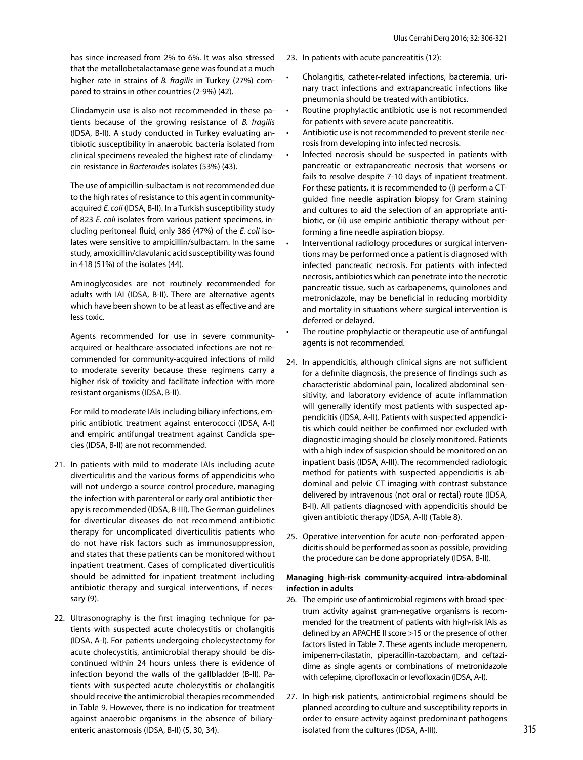has since increased from 2% to 6%. It was also stressed that the metallobetalactamase gene was found at a much higher rate in strains of *B. fragilis* in Turkey (27%) compared to strains in other countries (2-9%) (42).

Clindamycin use is also not recommended in these patients because of the growing resistance of *B. fragilis* (IDSA, B-II). A study conducted in Turkey evaluating antibiotic susceptibility in anaerobic bacteria isolated from clinical specimens revealed the highest rate of clindamycin resistance in *Bacteroides* isolates (53%) (43).

The use of ampicillin-sulbactam is not recommended due to the high rates of resistance to this agent in communityacquired *E. coli* (IDSA, B-II). In a Turkish susceptibility study of 823 *E. coli* isolates from various patient specimens, including peritoneal fluid, only 386 (47%) of the *E. coli* isolates were sensitive to ampicillin/sulbactam. In the same study, amoxicillin/clavulanic acid susceptibility was found in 418 (51%) of the isolates (44).

Aminoglycosides are not routinely recommended for adults with IAI (IDSA, B-II). There are alternative agents which have been shown to be at least as effective and are less toxic.

Agents recommended for use in severe communityacquired or healthcare-associated infections are not recommended for community-acquired infections of mild to moderate severity because these regimens carry a higher risk of toxicity and facilitate infection with more resistant organisms (IDSA, B-II).

For mild to moderate IAIs including biliary infections, empiric antibiotic treatment against enterococci (IDSA, A-I) and empiric antifungal treatment against Candida species (IDSA, B-II) are not recommended.

- 21. In patients with mild to moderate IAIs including acute diverticulitis and the various forms of appendicitis who will not undergo a source control procedure, managing the infection with parenteral or early oral antibiotic therapy is recommended (IDSA, B-III). The German guidelines for diverticular diseases do not recommend antibiotic therapy for uncomplicated diverticulitis patients who do not have risk factors such as immunosuppression, and states that these patients can be monitored without inpatient treatment. Cases of complicated diverticulitis should be admitted for inpatient treatment including antibiotic therapy and surgical interventions, if necessary (9).
- 22. Ultrasonography is the first imaging technique for patients with suspected acute cholecystitis or cholangitis (IDSA, A-I). For patients undergoing cholecystectomy for acute cholecystitis, antimicrobial therapy should be discontinued within 24 hours unless there is evidence of infection beyond the walls of the gallbladder (B-II). Patients with suspected acute cholecystitis or cholangitis should receive the antimicrobial therapies recommended in Table 9. However, there is no indication for treatment against anaerobic organisms in the absence of biliaryenteric anastomosis (IDSA, B-II) (5, 30, 34).
- 23. In patients with acute pancreatitis (12):
	- Cholangitis, catheter-related infections, bacteremia, urinary tract infections and extrapancreatic infections like pneumonia should be treated with antibiotics.
	- Routine prophylactic antibiotic use is not recommended for patients with severe acute pancreatitis.
	- Antibiotic use is not recommended to prevent sterile necrosis from developing into infected necrosis.
	- Infected necrosis should be suspected in patients with pancreatic or extrapancreatic necrosis that worsens or fails to resolve despite 7-10 days of inpatient treatment. For these patients, it is recommended to (i) perform a CTguided fine needle aspiration biopsy for Gram staining and cultures to aid the selection of an appropriate antibiotic, or (ii) use empiric antibiotic therapy without performing a fine needle aspiration biopsy.
	- Interventional radiology procedures or surgical interventions may be performed once a patient is diagnosed with infected pancreatic necrosis. For patients with infected necrosis, antibiotics which can penetrate into the necrotic pancreatic tissue, such as carbapenems, quinolones and metronidazole, may be beneficial in reducing morbidity and mortality in situations where surgical intervention is deferred or delayed.
	- The routine prophylactic or therapeutic use of antifungal agents is not recommended.
- 24. In appendicitis, although clinical signs are not sufficient for a definite diagnosis, the presence of findings such as characteristic abdominal pain, localized abdominal sensitivity, and laboratory evidence of acute inflammation will generally identify most patients with suspected appendicitis (IDSA, A-II). Patients with suspected appendicitis which could neither be confirmed nor excluded with diagnostic imaging should be closely monitored. Patients with a high index of suspicion should be monitored on an inpatient basis (IDSA, A-III). The recommended radiologic method for patients with suspected appendicitis is abdominal and pelvic CT imaging with contrast substance delivered by intravenous (not oral or rectal) route (IDSA, B-II). All patients diagnosed with appendicitis should be given antibiotic therapy (IDSA, A-II) (Table 8).
- 25. Operative intervention for acute non-perforated appendicitis should be performed as soon as possible, providing the procedure can be done appropriately (IDSA, B-II).

# **Managing high-risk community-acquired intra-abdominal infection in adults**

- 26. The empiric use of antimicrobial regimens with broad-spectrum activity against gram-negative organisms is recommended for the treatment of patients with high-risk IAIs as defined by an APACHE II score >15 or the presence of other factors listed in Table 7. These agents include meropenem, imipenem-cilastatin, piperacillin-tazobactam, and ceftazidime as single agents or combinations of metronidazole with cefepime, ciprofloxacin or levofloxacin (IDSA, A-I).
- 27. In high-risk patients, antimicrobial regimens should be planned according to culture and susceptibility reports in order to ensure activity against predominant pathogens isolated from the cultures (IDSA, A-III).  $\vert$  315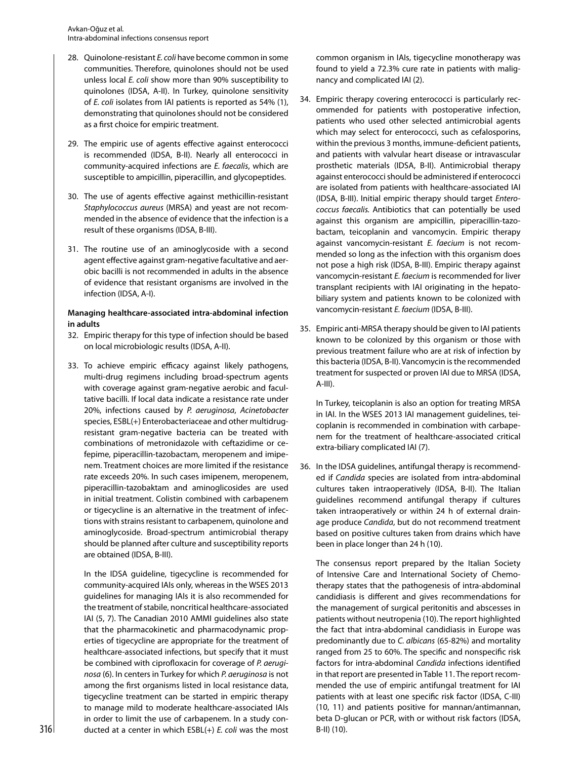- 28. Quinolone-resistant *E. coli* have become common in some communities. Therefore, quinolones should not be used unless local *E. coli* show more than 90% susceptibility to quinolones (IDSA, A-II). In Turkey, quinolone sensitivity of *E. coli* isolates from IAI patients is reported as 54% (1), demonstrating that quinolones should not be considered as a first choice for empiric treatment.
- 29. The empiric use of agents effective against enterococci is recommended (IDSA, B-II). Nearly all enterococci in community-acquired infections are *E. faecalis*, which are susceptible to ampicillin, piperacillin, and glycopeptides.
- 30. The use of agents effective against methicillin-resistant *Staphylococcus aureus* (MRSA) and yeast are not recommended in the absence of evidence that the infection is a result of these organisms (IDSA, B-III).
- 31. The routine use of an aminoglycoside with a second agent effective against gram-negative facultative and aerobic bacilli is not recommended in adults in the absence of evidence that resistant organisms are involved in the infection (IDSA, A-I).

# **Managing healthcare-associated intra-abdominal infection in adults**

- 32. Empiric therapy for this type of infection should be based on local microbiologic results (IDSA, A-II).
- 33. To achieve empiric efficacy against likely pathogens, multi-drug regimens including broad-spectrum agents with coverage against gram-negative aerobic and facultative bacilli. If local data indicate a resistance rate under 20%, infections caused by *P. aeruginosa*, *Acinetobacter* species, ESBL(+) Enterobacteriaceae and other multidrugresistant gram-negative bacteria can be treated with combinations of metronidazole with ceftazidime or cefepime, piperacillin-tazobactam, meropenem and imipenem. Treatment choices are more limited if the resistance rate exceeds 20%. In such cases imipenem, meropenem, piperacillin-tazobaktam and aminoglicosides are used in initial treatment. Colistin combined with carbapenem or tigecycline is an alternative in the treatment of infections with strains resistant to carbapenem, quinolone and aminoglycoside. Broad-spectrum antimicrobial therapy should be planned after culture and susceptibility reports are obtained (IDSA, B-III).

In the IDSA guideline, tigecycline is recommended for community-acquired IAIs only, whereas in the WSES 2013 guidelines for managing IAIs it is also recommended for the treatment of stabile, noncritical healthcare-associated IAI (5, 7). The Canadian 2010 AMMI guidelines also state that the pharmacokinetic and pharmacodynamic properties of tigecycline are appropriate for the treatment of healthcare-associated infections, but specify that it must be combined with ciprofloxacin for coverage of *P. aeruginosa* (6). In centers in Turkey for which *P. aeruginosa* is not among the first organisms listed in local resistance data, tigecycline treatment can be started in empiric therapy to manage mild to moderate healthcare-associated IAIs in order to limit the use of carbapenem. In a study con- $316$  ducted at a center in which ESBL(+) *E. coli* was the most  $\qquad$  B-II) (10).

common organism in IAIs, tigecycline monotherapy was found to yield a 72.3% cure rate in patients with malignancy and complicated IAI (2).

- 34. Empiric therapy covering enterococci is particularly recommended for patients with postoperative infection, patients who used other selected antimicrobial agents which may select for enterococci, such as cefalosporins, within the previous 3 months, immune-deficient patients, and patients with valvular heart disease or intravascular prosthetic materials (IDSA, B-II). Antimicrobial therapy against enterococci should be administered if enterococci are isolated from patients with healthcare-associated IAI (IDSA, B-III). Initial empiric therapy should target *Enterococcus faecalis.* Antibiotics that can potentially be used against this organism are ampicillin, piperacillin-tazobactam, teicoplanin and vancomycin. Empiric therapy against vancomycin-resistant *E. faecium* is not recommended so long as the infection with this organism does not pose a high risk (IDSA, B-III). Empiric therapy against vancomycin-resistant *E. faecium* is recommended for liver transplant recipients with IAI originating in the hepatobiliary system and patients known to be colonized with vancomycin-resistant *E. faecium* (IDSA, B-III).
- 35. Empiric anti-MRSA therapy should be given to IAI patients known to be colonized by this organism or those with previous treatment failure who are at risk of infection by this bacteria (IDSA, B-II). Vancomycin is the recommended treatment for suspected or proven IAI due to MRSA (IDSA, A-III).

In Turkey, teicoplanin is also an option for treating MRSA in IAI. In the WSES 2013 IAI management guidelines, teicoplanin is recommended in combination with carbapenem for the treatment of healthcare-associated critical extra-biliary complicated IAI (7).

36. In the IDSA guidelines, antifungal therapy is recommended if *Candida* species are isolated from intra-abdominal cultures taken intraoperatively (IDSA, B-II). The Italian guidelines recommend antifungal therapy if cultures taken intraoperatively or within 24 h of external drainage produce *Candida*, but do not recommend treatment based on positive cultures taken from drains which have been in place longer than 24 h (10).

The consensus report prepared by the Italian Society of Intensive Care and International Society of Chemotherapy states that the pathogenesis of intra-abdominal candidiasis is different and gives recommendations for the management of surgical peritonitis and abscesses in patients without neutropenia (10). The report highlighted the fact that intra-abdominal candidiasis in Europe was predominantly due to *C. albicans* (65-82%) and mortality ranged from 25 to 60%. The specific and nonspecific risk factors for intra-abdominal *Candida* infections identified in that report are presented in Table 11. The report recommended the use of empiric antifungal treatment for IAI patients with at least one specific risk factor (IDSA, C-III) (10, 11) and patients positive for mannan/antimannan, beta D-glucan or PCR, with or without risk factors (IDSA,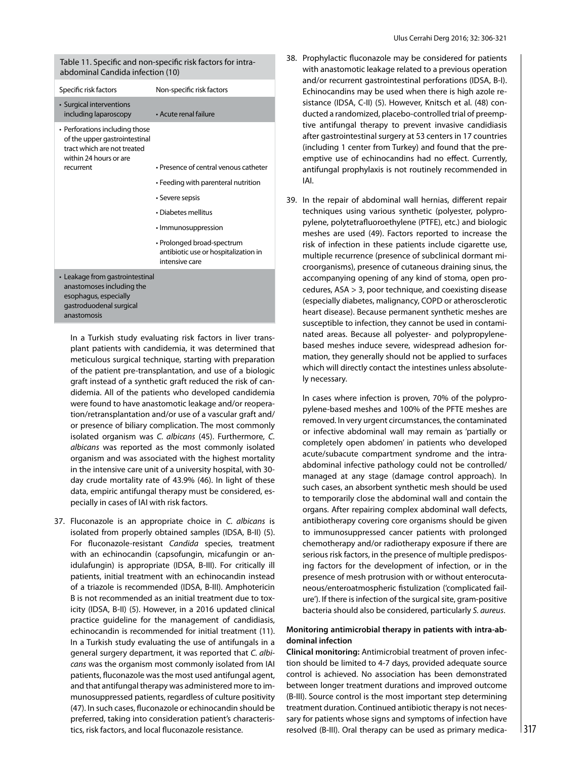Table 11. Specific and non-specific risk factors for intraabdominal Candida infection (10)

| Specific risk factors                                                                                                           | Non-specific risk factors                                                            |
|---------------------------------------------------------------------------------------------------------------------------------|--------------------------------------------------------------------------------------|
| • Surgical interventions<br>including laparoscopy                                                                               | • Acute renal failure                                                                |
| • Perforations including those<br>of the upper gastrointestinal<br>tract which are not treated<br>within 24 hours or are        |                                                                                      |
| recurrent                                                                                                                       | • Presence of central venous catheter                                                |
|                                                                                                                                 | • Feeding with parenteral nutrition                                                  |
|                                                                                                                                 | • Severe sepsis                                                                      |
|                                                                                                                                 | • Diabetes mellitus                                                                  |
|                                                                                                                                 | • Immunosuppression                                                                  |
|                                                                                                                                 | • Prolonged broad-spectrum<br>antibiotic use or hospitalization in<br>intensive care |
| • Leakage from gastrointestinal<br>anastomoses including the<br>esophagus, especially<br>qastroduodenal surgical<br>anastomosis |                                                                                      |

In a Turkish study evaluating risk factors in liver transplant patients with candidemia, it was determined that meticulous surgical technique, starting with preparation of the patient pre-transplantation, and use of a biologic graft instead of a synthetic graft reduced the risk of candidemia. All of the patients who developed candidemia were found to have anastomotic leakage and/or reoperation/retransplantation and/or use of a vascular graft and/ or presence of biliary complication. The most commonly isolated organism was *C. albicans* (45). Furthermore, *C. albicans* was reported as the most commonly isolated organism and was associated with the highest mortality in the intensive care unit of a university hospital, with 30 day crude mortality rate of 43.9% (46). In light of these data, empiric antifungal therapy must be considered, especially in cases of IAI with risk factors.

37. Fluconazole is an appropriate choice in *C. albicans* is isolated from properly obtained samples (IDSA, B-II) (5). For fluconazole-resistant *Candida* species, treatment with an echinocandin (capsofungin, micafungin or anidulafungin) is appropriate (IDSA, B-III). For critically ill patients, initial treatment with an echinocandin instead of a triazole is recommended (IDSA, B-III). Amphotericin B is not recommended as an initial treatment due to toxicity (IDSA, B-II) (5). However, in a 2016 updated clinical practice guideline for the management of candidiasis, echinocandin is recommended for initial treatment (11). In a Turkish study evaluating the use of antifungals in a general surgery department, it was reported that *C. albicans* was the organism most commonly isolated from IAI patients, fluconazole was the most used antifungal agent, and that antifungal therapy was administered more to immunosuppressed patients, regardless of culture positivity (47). In such cases, fluconazole or echinocandin should be preferred, taking into consideration patient's characteristics, risk factors, and local fluconazole resistance.

- 38. Prophylactic fluconazole may be considered for patients with anastomotic leakage related to a previous operation and/or recurrent gastrointestinal perforations (IDSA, B-I). Echinocandins may be used when there is high azole resistance (IDSA, C-II) (5). However, Knitsch et al. (48) conducted a randomized, placebo-controlled trial of preemptive antifungal therapy to prevent invasive candidiasis after gastrointestinal surgery at 53 centers in 17 countries (including 1 center from Turkey) and found that the preemptive use of echinocandins had no effect. Currently, antifungal prophylaxis is not routinely recommended in IAI.
- 39. In the repair of abdominal wall hernias, different repair techniques using various synthetic (polyester, polypropylene, polytetrafluoroethylene (PTFE), etc.) and biologic meshes are used (49). Factors reported to increase the risk of infection in these patients include cigarette use, multiple recurrence (presence of subclinical dormant microorganisms), presence of cutaneous draining sinus, the accompanying opening of any kind of stoma, open procedures, ASA > 3, poor technique, and coexisting disease (especially diabetes, malignancy, COPD or atherosclerotic heart disease). Because permanent synthetic meshes are susceptible to infection, they cannot be used in contaminated areas. Because all polyester- and polypropylenebased meshes induce severe, widespread adhesion formation, they generally should not be applied to surfaces which will directly contact the intestines unless absolutely necessary.

In cases where infection is proven, 70% of the polypropylene-based meshes and 100% of the PFTE meshes are removed. In very urgent circumstances, the contaminated or infective abdominal wall may remain as 'partially or completely open abdomen' in patients who developed acute/subacute compartment syndrome and the intraabdominal infective pathology could not be controlled/ managed at any stage (damage control approach). In such cases, an absorbent synthetic mesh should be used to temporarily close the abdominal wall and contain the organs. After repairing complex abdominal wall defects, antibiotherapy covering core organisms should be given to immunosuppressed cancer patients with prolonged chemotherapy and/or radiotherapy exposure if there are serious risk factors, in the presence of multiple predisposing factors for the development of infection, or in the presence of mesh protrusion with or without enterocutaneous/enteroatmospheric fistulization ('complicated failure'). If there is infection of the surgical site, gram-positive bacteria should also be considered, particularly *S. aureus*.

# **Monitoring antimicrobial therapy in patients with intra-abdominal infection**

**Clinical monitoring:** Antimicrobial treatment of proven infection should be limited to 4-7 days, provided adequate source control is achieved. No association has been demonstrated between longer treatment durations and improved outcome (B-III). Source control is the most important step determining treatment duration. Continued antibiotic therapy is not necessary for patients whose signs and symptoms of infection have resolved (B-III). Oral therapy can be used as primary medica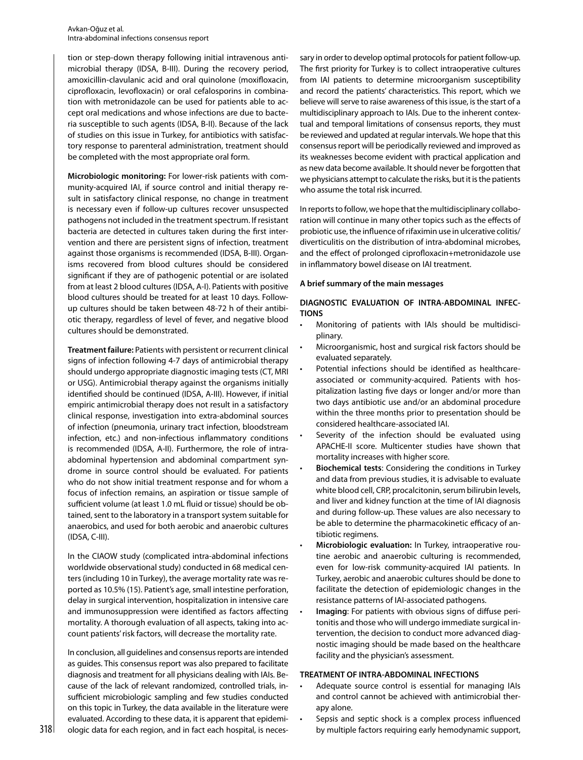tion or step-down therapy following initial intravenous antimicrobial therapy (IDSA, B-III). During the recovery period, amoxicillin-clavulanic acid and oral quinolone (moxifloxacin, ciprofloxacin, levofloxacin) or oral cefalosporins in combination with metronidazole can be used for patients able to accept oral medications and whose infections are due to bacteria susceptible to such agents (IDSA, B-II). Because of the lack of studies on this issue in Turkey, for antibiotics with satisfactory response to parenteral administration, treatment should be completed with the most appropriate oral form.

**Microbiologic monitoring:** For lower-risk patients with community-acquired IAI, if source control and initial therapy result in satisfactory clinical response, no change in treatment is necessary even if follow-up cultures recover unsuspected pathogens not included in the treatment spectrum. If resistant bacteria are detected in cultures taken during the first intervention and there are persistent signs of infection, treatment against those organisms is recommended (IDSA, B-III). Organisms recovered from blood cultures should be considered significant if they are of pathogenic potential or are isolated from at least 2 blood cultures (IDSA, A-I). Patients with positive blood cultures should be treated for at least 10 days. Followup cultures should be taken between 48-72 h of their antibiotic therapy, regardless of level of fever, and negative blood cultures should be demonstrated.

**Treatment failure:** Patients with persistent or recurrent clinical signs of infection following 4-7 days of antimicrobial therapy should undergo appropriate diagnostic imaging tests (CT, MRI or USG). Antimicrobial therapy against the organisms initially identified should be continued (IDSA, A-III). However, if initial empiric antimicrobial therapy does not result in a satisfactory clinical response, investigation into extra-abdominal sources of infection (pneumonia, urinary tract infection, bloodstream infection, etc.) and non-infectious inflammatory conditions is recommended (IDSA, A-II). Furthermore, the role of intraabdominal hypertension and abdominal compartment syndrome in source control should be evaluated. For patients who do not show initial treatment response and for whom a focus of infection remains, an aspiration or tissue sample of sufficient volume (at least 1.0 mL fluid or tissue) should be obtained, sent to the laboratory in a transport system suitable for anaerobics, and used for both aerobic and anaerobic cultures (IDSA, C-III).

In the CIAOW study (complicated intra-abdominal infections worldwide observational study) conducted in 68 medical centers (including 10 in Turkey), the average mortality rate was reported as 10.5% (15). Patient's age, small intestine perforation, delay in surgical intervention, hospitalization in intensive care and immunosuppression were identified as factors affecting mortality. A thorough evaluation of all aspects, taking into account patients' risk factors, will decrease the mortality rate.

In conclusion, all guidelines and consensus reports are intended as guides. This consensus report was also prepared to facilitate diagnosis and treatment for all physicians dealing with IAIs. Because of the lack of relevant randomized, controlled trials, insufficient microbiologic sampling and few studies conducted on this topic in Turkey, the data available in the literature were evaluated. According to these data, it is apparent that epidemisary in order to develop optimal protocols for patient follow-up. The first priority for Turkey is to collect intraoperative cultures from IAI patients to determine microorganism susceptibility and record the patients' characteristics. This report, which we believe will serve to raise awareness of this issue, is the start of a multidisciplinary approach to IAIs. Due to the inherent contextual and temporal limitations of consensus reports, they must be reviewed and updated at regular intervals. We hope that this consensus report will be periodically reviewed and improved as its weaknesses become evident with practical application and as new data become available. It should never be forgotten that we physicians attempt to calculate the risks, but it is the patients who assume the total risk incurred.

In reports to follow, we hope that the multidisciplinary collaboration will continue in many other topics such as the effects of probiotic use, the influence of rifaximin use in ulcerative colitis/ diverticulitis on the distribution of intra-abdominal microbes, and the effect of prolonged ciprofloxacin+metronidazole use in inflammatory bowel disease on IAI treatment.

#### **A brief summary of the main messages**

# **DIAGNOSTIC EVALUATION OF INTRA-ABDOMINAL INFEC-TIONS**

- Monitoring of patients with IAIs should be multidisciplinary.
- Microorganismic, host and surgical risk factors should be evaluated separately.
- Potential infections should be identified as healthcareassociated or community-acquired. Patients with hospitalization lasting five days or longer and/or more than two days antibiotic use and/or an abdominal procedure within the three months prior to presentation should be considered healthcare-associated IAI.
- Severity of the infection should be evaluated using APACHE-II score. Multicenter studies have shown that mortality increases with higher score.
- **Biochemical tests**: Considering the conditions in Turkey and data from previous studies, it is advisable to evaluate white blood cell, CRP, procalcitonin, serum bilirubin levels, and liver and kidney function at the time of IAI diagnosis and during follow-up. These values are also necessary to be able to determine the pharmacokinetic efficacy of antibiotic regimens.
- **Microbiologic evaluation:** In Turkey, intraoperative routine aerobic and anaerobic culturing is recommended, even for low-risk community-acquired IAI patients. In Turkey, aerobic and anaerobic cultures should be done to facilitate the detection of epidemiologic changes in the resistance patterns of IAI-associated pathogens.
- **Imaging**: For patients with obvious signs of diffuse peritonitis and those who will undergo immediate surgical intervention, the decision to conduct more advanced diagnostic imaging should be made based on the healthcare facility and the physician's assessment.

## **TREATMENT OF INTRA-ABDOMINAL INFECTIONS**

- Adequate source control is essential for managing IAIs and control cannot be achieved with antimicrobial therapy alone.
- $318$   $\,$  ologic data for each region, and in fact each hospital, is neces-  $\,$  by multiple factors requiring early hemodynamic support, Sepsis and septic shock is a complex process influenced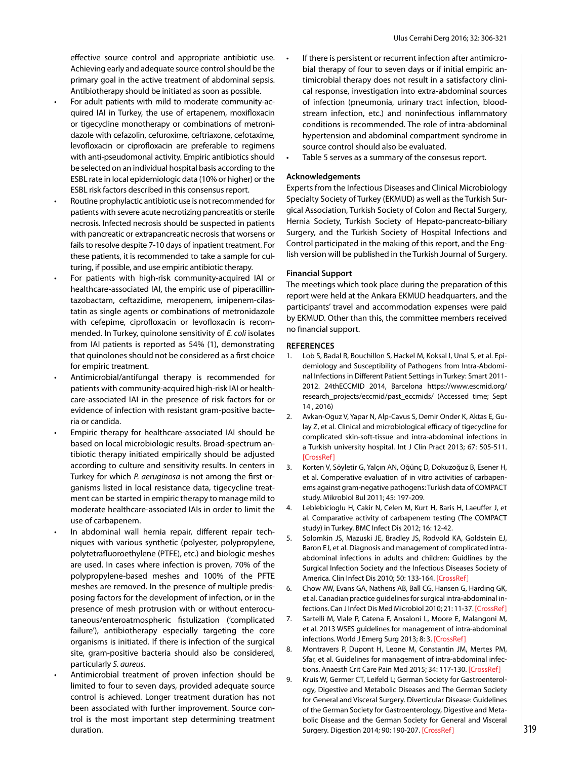effective source control and appropriate antibiotic use. Achieving early and adequate source control should be the primary goal in the active treatment of abdominal sepsis. Antibiotherapy should be initiated as soon as possible.

- For adult patients with mild to moderate community-acquired IAI in Turkey, the use of ertapenem, moxifloxacin or tigecycline monotherapy or combinations of metronidazole with cefazolin, cefuroxime, ceftriaxone, cefotaxime, levofloxacin or ciprofloxacin are preferable to regimens with anti-pseudomonal activity. Empiric antibiotics should be selected on an individual hospital basis according to the ESBL rate in local epidemiologic data (10% or higher) or the ESBL risk factors described in this consensus report.
- Routine prophylactic antibiotic use is not recommended for patients with severe acute necrotizing pancreatitis or sterile necrosis. Infected necrosis should be suspected in patients with pancreatic or extrapancreatic necrosis that worsens or fails to resolve despite 7-10 days of inpatient treatment. For these patients, it is recommended to take a sample for culturing, if possible, and use empiric antibiotic therapy.
- For patients with high-risk community-acquired IAI or healthcare-associated IAI, the empiric use of piperacillintazobactam, ceftazidime, meropenem, imipenem-cilastatin as single agents or combinations of metronidazole with cefepime, ciprofloxacin or levofloxacin is recommended. In Turkey, quinolone sensitivity of *E. coli* isolates from IAI patients is reported as 54% (1), demonstrating that quinolones should not be considered as a first choice for empiric treatment.
- Antimicrobial/antifungal therapy is recommended for patients with community-acquired high-risk IAI or healthcare-associated IAI in the presence of risk factors for or evidence of infection with resistant gram-positive bacteria or candida.
- Empiric therapy for healthcare-associated IAI should be based on local microbiologic results. Broad-spectrum antibiotic therapy initiated empirically should be adjusted according to culture and sensitivity results. In centers in Turkey for which *P. aeruginosa* is not among the first organisms listed in local resistance data, tigecycline treatment can be started in empiric therapy to manage mild to moderate healthcare-associated IAIs in order to limit the use of carbapenem.
- In abdominal wall hernia repair, different repair techniques with various synthetic (polyester, polypropylene, polytetrafluoroethylene (PTFE), etc.) and biologic meshes are used. In cases where infection is proven, 70% of the polypropylene-based meshes and 100% of the PFTE meshes are removed. In the presence of multiple predisposing factors for the development of infection, or in the presence of mesh protrusion with or without enterocutaneous/enteroatmospheric fistulization ('complicated failure'), antibiotherapy especially targeting the core organisms is initiated. If there is infection of the surgical site, gram-positive bacteria should also be considered, particularly *S. aureus*.
- Antimicrobial treatment of proven infection should be limited to four to seven days, provided adequate source control is achieved. Longer treatment duration has not been associated with further improvement. Source control is the most important step determining treatment duration.
- If there is persistent or recurrent infection after antimicrobial therapy of four to seven days or if initial empiric antimicrobial therapy does not result in a satisfactory clinical response, investigation into extra-abdominal sources of infection (pneumonia, urinary tract infection, bloodstream infection, etc.) and noninfectious inflammatory conditions is recommended. The role of intra-abdominal hypertension and abdominal compartment syndrome in source control should also be evaluated.
- Table 5 serves as a summary of the consesus report.

#### **Acknowledgements**

Experts from the Infectious Diseases and Clinical Microbiology Specialty Society of Turkey (EKMUD) as well as the Turkish Surgical Association, Turkish Society of Colon and Rectal Surgery, Hernia Society, Turkish Society of Hepato-pancreato-biliary Surgery, and the Turkish Society of Hospital Infections and Control participated in the making of this report, and the English version will be published in the Turkish Journal of Surgery.

## **Financial Support**

The meetings which took place during the preparation of this report were held at the Ankara EKMUD headquarters, and the participants' travel and accommodation expenses were paid by EKMUD. Other than this, the committee members received no financial support.

#### **REFERENCES**

- 1. Lob S, Badal R, Bouchillon S, Hackel M, Koksal I, Unal S, et al. Epidemiology and Susceptibility of Pathogens from Intra-Abdominal Infections in Different Patient Settings in Turkey: Smart 2011- 2012. 24thECCMID 2014, Barcelona https://www.escmid.org/ research\_projects/eccmid/past\_eccmids/ (Accessed time; Sept 14 , 2016)
- 2. Avkan-Oguz V, Yapar N, Alp-Cavus S, Demir Onder K, Aktas E, Gulay Z, et al. Clinical and microbiological efficacy of tigecycline for complicated skin-soft-tissue and intra-abdominal infections in a Turkish university hospital. Int J Clin Pract 2013; 67: 505-511. [[CrossRef\]](https://doi.org/10.1111/ijcp.12070)
- 3. Korten V, Söyletir G, Yalçın AN, Oğünç D, Dokuzoğuz B, Esener H, et al. Comperative evaluation of in vitro activities of carbapenems against gram-negative pathogens: Turkish data of COMPACT study. Mikrobiol Bul 2011; 45: 197-209.
- 4. Leblebicioglu H, Cakir N, Celen M, Kurt H, Baris H, Laeuffer J, et al. Comparative activity of carbapenem testing (The COMPACT study) in Turkey. BMC Infect Dis 2012; 16: 12-42.
- 5. Solomkin JS, Mazuski JE, Bradley JS, Rodvold KA, Goldstein EJ, Baron EJ, et al. Diagnosis and management of complicated intraabdominal infections in adults and children: Guidlines by the Surgical Infection Society and the Infectious Diseases Society of America. Clin Infect Dis 2010; 50: 133-164. [\[CrossRef\]](https://doi.org/10.1086/649554)
- 6. Chow AW, Evans GA, Nathens AB, Ball CG, Hansen G, Harding GK, et al. Canadian practice guidelines for surgical intra-abdominal infections. Can J Infect Dis Med Microbiol 2010; 21: 11-37. [[CrossRef\]](https://doi.org/10.1155/2010/580340)
- 7. Sartelli M, Viale P, Catena F, Ansaloni L, Moore E, Malangoni M, et al. 2013 WSES guidelines for management of intra-abdominal infections. World J Emerg Surg 2013; 8: 3. [[CrossRef](https://doi.org/10.1186/1749-7922-8-3)]
- 8. Montravers P, Dupont H, Leone M, Constantin JM, Mertes PM, Sfar, et al. Guidelines for management of intra-abdominal infec-tions. Anaesth Crit Care Pain Med 2015; 34: 117-130. [\[CrossRef](https://doi.org/10.1016/j.accpm.2015.03.005)]
- 9. Kruis W, Germer CT, Leifeld L; German Society for Gastroenterology, Digestive and Metabolic Diseases and The German Society for General and Visceral Surgery. Diverticular Disease: Guidelines of the German Society for Gastroenterology, Digestive and Metabolic Disease and the German Society for General and Visceral Surgery. Digestion 2014; 90: 190-207. [\[CrossRef\]](https://doi.org/10.1159/000367625) 319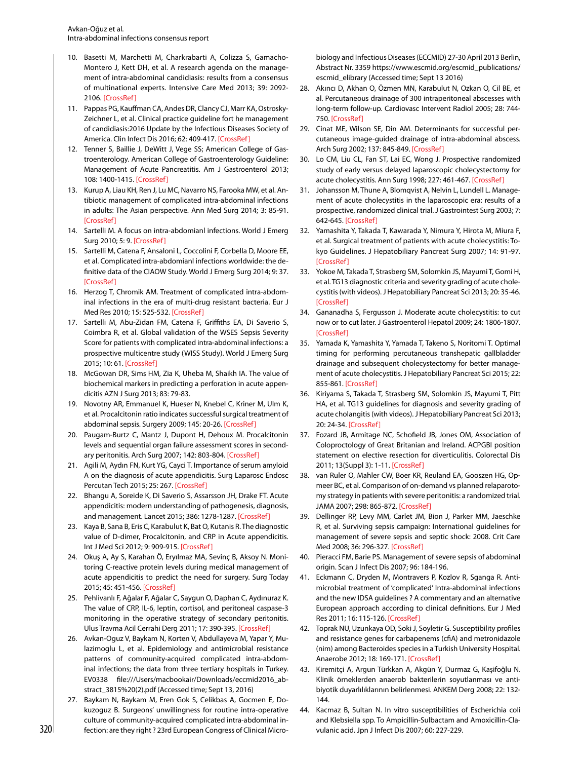- 10. Basetti M, Marchetti M, Charkrabarti A, Colizza S, Gamacho-Montero J, Kett DH, et al. A research agenda on the management of intra-abdominal candidiasis: results from a consensus of multinational experts. Intensive Care Med 2013; 39: 2092- 2106. [\[CrossRef](https://doi.org/10.1007/s00134-013-3109-3)]
- 11. Pappas PG, Kauffman CA, Andes DR, Clancy CJ, Marr KA, Ostrosky-Zeichner L, et al. Clinical practice guideline fort he management of candidiasis:2016 Update by the Infectious Diseases Society of America. Clin Infect Dis 2016; 62: 409-417. [\[CrossRef](https://doi.org/10.1093/cid/civ1194)]
- 12. Tenner S, Baillie J, DeWitt J, Vege SS; American College of Gastroenterology. American College of Gastroenterology Guideline: Management of Acute Pancreatitis. Am J Gastroenterol 2013; 108: 1400-1415. [\[CrossRef\]](https://doi.org/10.1038/ajg.2013.218)
- 13. Kurup A, Liau KH, Ren J, Lu MC, Navarro NS, Farooka MW, et al. Antibiotic management of complicated intra-abdominal infections in adults: The Asian perspective. Ann Med Surg 2014; 3: 85-91. [\[CrossRef](https://doi.org/10.1016/j.amsu.2014.06.005)]
- 14. Sartelli M. A focus on intra-abdomianl infections. World J Emerg Surg 2010; 5: 9. [[CrossRef](https://doi.org/10.1186/1749-7922-5-9)]
- 15. Sartelli M, Catena F, Ansaloni L, Coccolini F, Corbella D, Moore EE, et al. Complicated intra-abdomianl infections worldwide: the definitive data of the CIAOW Study. World J Emerg Surg 2014; 9: 37. [\[CrossRef](https://doi.org/10.1186/1749-7922-9-37)]
- 16. Herzog T, Chromik AM. Treatment of complicated intra-abdominal infections in the era of multi-drug resistant bacteria. Eur J Med Res 2010; 15: 525-532. [[CrossRef](https://doi.org/10.1186/2047-783X-15-12-525)]
- 17. Sartelli M, Abu-Zidan FM, Catena F, Griffiths EA, Di Saverio S, Coimbra R, et al. Global validation of the WSES Sepsis Severity Score for patients with complicated intra-abdominal infections: a prospective multicentre study (WISS Study). World J Emerg Surg 2015; 10: 61. [\[CrossRef](https://doi.org/10.1186/s13017-015-0055-0)]
- 18. McGowan DR, Sims HM, Zia K, Uheba M, Shaikh IA. The value of biochemical markers in predicting a perforation in acute appendicitis AZN J Surg 2013; 83: 79-83.
- 19. Novotny AR, Emmanuel K, Hueser N, Knebel C, Kriner M, Ulm K, et al. Procalcitonin ratio indicates successful surgical treatment of abdominal sepsis. Surgery 2009; 145: 20-26. [\[CrossRef\]](https://doi.org/10.1016/j.surg.2008.08.009)
- 20. Paugam-Burtz C, Mantz J, Dupont H, Dehoux M. Procalcitonin levels and sequential organ failure assessment scores in secondary peritonitis. Arch Surg 2007; 142: 803-804. [[CrossRef\]](https://doi.org/10.1001/archsurg.142.8.803-b)
- 21. Agili M, Aydın FN, Kurt YG, Cayci T. Importance of serum amyloid A on the diagnosis of acute appendicitis. Surg Laparosc Endosc Percutan Tech 2015; 25: 267. [\[CrossRef](https://doi.org/10.1097/SLE.0000000000000157)]
- 22. Bhangu A, Soreide K, Di Saverio S, Assarsson JH, Drake FT. Acute appendicitis: modern understanding of pathogenesis, diagnosis, and management. Lancet 2015; 386: 1278-1287. [\[CrossRef](https://doi.org/10.1016/S0140-6736(15)00275-5)]
- 23. Kaya B, Sana B, Eris C, Karabulut K, Bat O, Kutanis R. The diagnostic value of D-dimer, Procalcitonin, and CRP in Acute appendicitis. Int J Med Sci 2012; 9: 909-915. [\[CrossRef](https://doi.org/10.7150/ijms.4733)]
- 24. Okuş A, Ay S, Karahan Ö, Eryılmaz MA, Sevinç B, Aksoy N. Monitoring C-reactive protein levels during medical management of acute appendicitis to predict the need for surgery. Surg Today 2015; 45: 451-456. [[CrossRef](https://doi.org/10.1007/s00595-014-1099-6)]
- 25. Pehlivanlı F, Ağalar F, Ağalar C, Saygun O, Daphan C, Aydınuraz K. The value of CRP, IL-6, leptin, cortisol, and peritoneal caspase-3 monitoring in the operative strategy of secondary peritonitis. Ulus Travma Acil Cerrahi Derg 2011; 17: 390-395. [\[CrossRef\]](https://doi.org/10.5505/tjtes.2011.03443)
- 26. Avkan-Oguz V, Baykam N, Korten V, Abdullayeva M, Yapar Y, Mulazimoglu L, et al. Epidemiology and antimicrobial resistance patterns of community-acquired complicated intra-abdominal infections; the data from three tertiary hospitals in Turkey. EV0338 file:///Users/macbookair/Downloads/eccmid2016\_abstract\_3815%20(2).pdf (Accessed time; Sept 13, 2016)
- 27. Baykam N, Baykam M, Eren Gok S, Celikbas A, Gocmen E, Dokuzoguz B. Surgeons' unwillingness for routine intra-operative culture of community-acquired complicated intra-abdominal in-

biology and Infectious Diseases (ECCMID) 27-30 April 2013 Berlin, Abstract Nr. 3359 https://www.escmid.org/escmid\_publications/ escmid\_elibrary (Accessed time; Sept 13 2016)

- 28. Akıncı D, Akhan O, Özmen MN, Karabulut N, Ozkan O, Cil BE, et al. Percutaneous drainage of 300 intraperitoneal abscesses with long-term follow-up. Cardiovasc Intervent Radiol 2005; 28: 744- 750. [\[CrossRef\]](https://doi.org/10.1007/s00270-004-0281-4)
- 29. Cinat ME, Wilson SE, Din AM. Determinants for successful percutaneous image-guided drainage of intra-abdominal abscess. Arch Surg 2002; 137: 845-849. [[CrossRef](https://doi.org/10.1001/archsurg.137.7.845)]
- 30. Lo CM, Liu CL, Fan ST, Lai EC, Wong J. Prospective randomized study of early versus delayed laparoscopic cholecystectomy for acute cholecystitis. Ann Surg 1998; 227: 461-467. [[CrossRef](https://doi.org/10.1097/00000658-199804000-00001)]
- 31. Johansson M, Thune A, Blomqvist A, Nelvin L, Lundell L. Management of acute cholecystitis in the laparoscopic era: results of a prospective, randomized clinical trial. J Gastrointest Surg 2003; 7: 642-645. [\[CrossRef\]](https://doi.org/10.1016/S1091-255X(03)00065-9)
- 32. Yamashita Y, Takada T, Kawarada Y, Nimura Y, Hirota M, Miura F, et al. Surgical treatment of patients with acute cholecystitis: Tokyo Guidelines. J Hepatobiliary Pancreat Surg 2007; 14: 91-97. [[CrossRef \]](https://doi.org/10.1007/s00534-006-1161-x)
- 33. Yokoe M, Takada T, Strasberg SM, Solomkin JS, Mayumi T, Gomi H, et al. TG13 diagnostic criteria and severity grading of acute cholecystitis (with videos). J Hepatobiliary Pancreat Sci 2013; 20: 35-46. [[CrossRef](https://doi.org/10.1007/s00534-012-0568-9)]
- 34. Gananadha S, Fergusson J. Moderate acute cholecystitis: to cut now or to cut later. J Gastroenterol Hepatol 2009; 24: 1806-1807. [[CrossRef](https://doi.org/10.1111/j.1440-1746.2009.06043.x)]
- 35. Yamada K, Yamashita Y, Yamada T, Takeno S, Noritomi T. Optimal timing for performing percutaneous transhepatic gallbladder drainage and subsequent cholecystectomy for better management of acute cholecystitis. J Hepatobiliary Pancreat Sci 2015; 22: 855-861. [\[CrossRef\]](https://doi.org/10.1002/jhbp.294)
- 36. Kiriyama S, Takada T, Strasberg SM, Solomkin JS, Mayumi T, Pitt HA, et al. TG13 guidelines for diagnosis and severity grading of acute cholangitis (with videos). J Hepatobiliary Pancreat Sci 2013; 20: 24-34. [[CrossRef\]](https://doi.org/10.1007/s00534-012-0561-3)
- 37. Fozard JB, Armitage NC, Schofield JB, Jones OM, Association of Coloproctology of Great Britanian and Ireland. ACPGBI position statement on elective resection for diverticulitis. Colorectal Dis 2011; 13(Suppl 3): 1-11. [[CrossRef](https://doi.org/10.1111/j.1463-1318.2010.02531.x)]
- 38. van Ruler O, Mahler CW, Boer KR, Reuland EA, Gooszen HG, Opmeer BC, et al. Comparison of on-demand vs planned relaparotomy strategy in patients with severe peritonitis: a randomized trial. JAMA 2007; 298: 865-872. [\[CrossRef\]](https://doi.org/10.1001/jama.298.8.865)
- 39. Dellinger RP, Levy MM, Carlet JM, Bion J, Parker MM, Jaeschke R, et al. Surviving sepsis campaign: International guidelines for management of severe sepsis and septic shock: 2008. Crit Care Med 2008; 36: 296-327. [\[CrossRef\]](https://doi.org/10.1097/01.CCM.0000298158.12101.41)
- 40. Pieracci FM, Barie PS. Management of severe sepsis of abdominal origin. Scan J Infect Dis 2007; 96: 184-196.
- 41. Eckmann C, Dryden M, Montravers P, Kozlov R, Sganga R. Antimicrobial treatment of 'complicated' Intra-abdominal infections and the new IDSA guidelines ? A commentary and an alternative European approach according to clinical definitions. Eur J Med Res 2011; 16: 115-126. [[CrossRef](https://doi.org/10.1186/2047-783X-16-3-115)]
- 42. Toprak NU, Uzunkaya OD, Soki J, Soyletir G. Susceptibility profiles and resistance genes for carbapenems (cfiA) and metronidazole (nim) among Bacteroides species in a Turkish University Hospital. Anaerobe 2012; 18: 169-171. [[CrossRef](https://doi.org/10.1016/j.anaerobe.2011.10.004)]
- 43. Kiremitçi A, Argun Türkkan A, Akgün Y, Durmaz G, Kaşifoğlu N. Klinik örneklerden anaerob bakterilerin soyutlanması ve antibiyotik duyarlılıklarının belirlenmesi. ANKEM Derg 2008; 22: 132- 144.
- $320$  Fection: are they right ? 23rd European Congress of Clinical Micro- vulanic acid. Jpn J Infect Dis 2007; 60: 227-229. 44. Kacmaz B, Sultan N. In vitro susceptibilities of Escherichia coli and Klebsiella spp. To Ampicillin-Sulbactam and Amoxicillin-Cla-